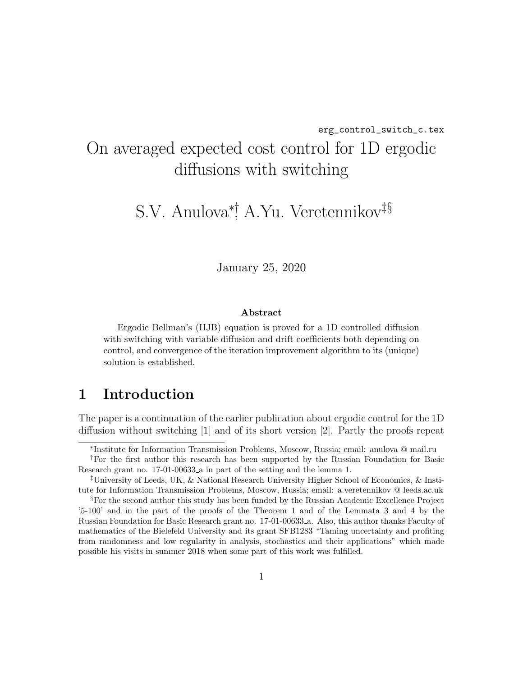erg\_control\_switch\_c.tex

## On averaged expected cost control for 1D ergodic diffusions with switching

# S.V. Anulova<sup>∗</sup>, A.Yu. Veretennikov<sup>‡§</sup>

January 25, 2020

#### Abstract

Ergodic Bellman's (HJB) equation is proved for a 1D controlled diffusion with switching with variable diffusion and drift coefficients both depending on control, and convergence of the iteration improvement algorithm to its (unique) solution is established.

#### 1 Introduction

The paper is a continuation of the earlier publication about ergodic control for the 1D diffusion without switching [1] and of its short version [2]. Partly the proofs repeat

<sup>∗</sup> Institute for Information Transmission Problems, Moscow, Russia; email: anulova @ mail.ru

<sup>†</sup>For the first author this research has been supported by the Russian Foundation for Basic Research grant no. 17-01-00633 a in part of the setting and the lemma 1.

<sup>‡</sup>University of Leeds, UK, & National Research University Higher School of Economics, & Institute for Information Transmission Problems, Moscow, Russia; email: a.veretennikov @ leeds.ac.uk

<sup>§</sup>For the second author this study has been funded by the Russian Academic Excellence Project '5-100' and in the part of the proofs of the Theorem 1 and of the Lemmata 3 and 4 by the Russian Foundation for Basic Research grant no. 17-01-00633 a. Also, this author thanks Faculty of mathematics of the Bielefeld University and its grant SFB1283 "Taming uncertainty and profiting from randomness and low regularity in analysis, stochastics and their applications" which made possible his visits in summer 2018 when some part of this work was fulfilled.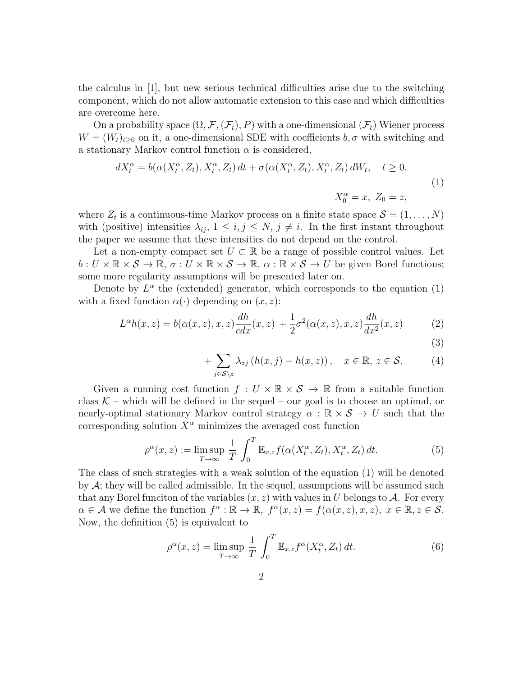the calculus in [1], but new serious technical difficulties arise due to the switching component, which do not allow automatic extension to this case and which difficulties are overcome here.

On a probability space  $(\Omega, \mathcal{F}, (\mathcal{F}_t), P)$  with a one-dimensional  $(\mathcal{F}_t)$  Wiener process  $W = (W_t)_{t>0}$  on it, a one-dimensional SDE with coefficients  $b, \sigma$  with switching and a stationary Markov control function  $\alpha$  is considered,

$$
dX_t^{\alpha} = b(\alpha(X_t^{\alpha}, Z_t), X_t^{\alpha}, Z_t) dt + \sigma(\alpha(X_t^{\alpha}, Z_t), X_t^{\alpha}, Z_t) dW_t, \quad t \ge 0,
$$
  

$$
X_0^{\alpha} = x, Z_0 = z,
$$
 (1)

where  $Z_t$  is a continuous-time Markov process on a finite state space  $\mathcal{S} = (1, \ldots, N)$ with (positive) intensities  $\lambda_{ij}$ ,  $1 \leq i, j \leq N$ ,  $j \neq i$ . In the first instant throughout the paper we assume that these intensities do not depend on the control.

Let a non-empty compact set  $U \subset \mathbb{R}$  be a range of possible control values. Let  $b: U \times \mathbb{R} \times S \to \mathbb{R}, \sigma: U \times \mathbb{R} \times S \to \mathbb{R}, \alpha: \mathbb{R} \times S \to U$  be given Borel functions; some more regularity assumptions will be presented later on.

Denote by  $L^{\alpha}$  the (extended) generator, which corresponds to the equation (1) with a fixed function  $\alpha(\cdot)$  depending on  $(x, z)$ :

$$
L^{\alpha}h(x,z) = b(\alpha(x,z),x,z)\frac{dh}{cdx}(x,z) + \frac{1}{2}\sigma^2(\alpha(x,z),x,z)\frac{dh}{dx^2}(x,z)
$$
 (2)

(3)

$$
+\sum_{j\in\mathcal{S}\backslash z}\lambda_{zj}\left(h(x,j)-h(x,z)\right),\quad x\in\mathbb{R},\,z\in\mathcal{S}.\tag{4}
$$

Given a running cost function  $f: U \times \mathbb{R} \times S \to \mathbb{R}$  from a suitable function class  $K$  – which will be defined in the sequel – our goal is to choose an optimal, or nearly-optimal stationary Markov control strategy  $\alpha : \mathbb{R} \times S \to U$  such that the corresponding solution  $X^{\alpha}$  minimizes the averaged cost function

$$
\rho^{\alpha}(x, z) := \limsup_{T \to \infty} \frac{1}{T} \int_0^T \mathbb{E}_{x, z} f(\alpha(X_t^{\alpha}, Z_t), X_t^{\alpha}, Z_t) dt.
$$
 (5)

The class of such strategies with a weak solution of the equation (1) will be denoted by A; they will be called admissible. In the sequel, assumptions will be assumed such that any Borel funciton of the variables  $(x, z)$  with values in U belongs to A. For every  $\alpha \in \mathcal{A}$  we define the function  $f^{\alpha}: \mathbb{R} \to \mathbb{R}$ ,  $f^{\alpha}(x, z) = f(\alpha(x, z), x, z)$ ,  $x \in \mathbb{R}$ ,  $z \in \mathcal{S}$ . Now, the definition (5) is equivalent to

$$
\rho^{\alpha}(x, z) = \limsup_{T \to \infty} \frac{1}{T} \int_0^T \mathbb{E}_{x, z} f^{\alpha}(X_t^{\alpha}, Z_t) dt.
$$
 (6)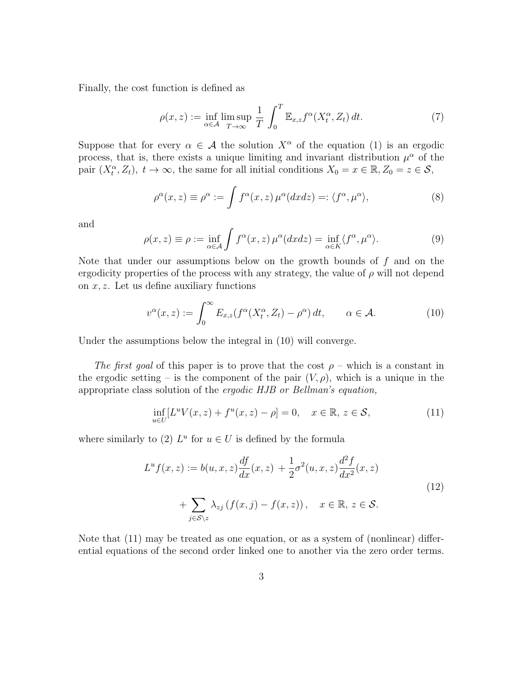Finally, the cost function is defined as

$$
\rho(x, z) := \inf_{\alpha \in \mathcal{A}} \limsup_{T \to \infty} \frac{1}{T} \int_0^T \mathbb{E}_{x, z} f^{\alpha}(X_t^{\alpha}, Z_t) dt.
$$
 (7)

Suppose that for every  $\alpha \in \mathcal{A}$  the solution  $X^{\alpha}$  of the equation (1) is an ergodic process, that is, there exists a unique limiting and invariant distribution  $\mu^{\alpha}$  of the pair  $(X_t^{\alpha}, Z_t)$ ,  $t \to \infty$ , the same for all initial conditions  $X_0 = x \in \mathbb{R}, Z_0 = z \in \mathcal{S}$ ,

$$
\rho^{\alpha}(x, z) \equiv \rho^{\alpha} := \int f^{\alpha}(x, z) \,\mu^{\alpha}(dx dz) =: \langle f^{\alpha}, \mu^{\alpha} \rangle,\tag{8}
$$

and

$$
\rho(x,z) \equiv \rho := \inf_{\alpha \in \mathcal{A}} \int f^{\alpha}(x,z) \,\mu^{\alpha}(dxdz) = \inf_{\alpha \in K} \langle f^{\alpha}, \mu^{\alpha} \rangle. \tag{9}
$$

Note that under our assumptions below on the growth bounds of  $f$  and on the ergodicity properties of the process with any strategy, the value of  $\rho$  will not depend on  $x, z$ . Let us define auxiliary functions

$$
v^{\alpha}(x, z) := \int_0^{\infty} E_{x, z} (f^{\alpha}(X_t^{\alpha}, Z_t) - \rho^{\alpha}) dt, \qquad \alpha \in \mathcal{A}.
$$
 (10)

Under the assumptions below the integral in (10) will converge.

The first goal of this paper is to prove that the cost  $\rho$  – which is a constant in the ergodic setting – is the component of the pair  $(V, \rho)$ , which is a unique in the appropriate class solution of the ergodic HJB or Bellman's equation,

$$
\inf_{u \in U} [L^u V(x, z) + f^u(x, z) - \rho] = 0, \quad x \in \mathbb{R}, \ z \in \mathcal{S}, \tag{11}
$$

where similarly to (2)  $L^u$  for  $u \in U$  is defined by the formula

$$
L^u f(x, z) := b(u, x, z) \frac{df}{dx}(x, z) + \frac{1}{2}\sigma^2(u, x, z) \frac{d^2 f}{dx^2}(x, z)
$$
  
+ 
$$
\sum_{j \in S \setminus z} \lambda_{zj} (f(x, j) - f(x, z)), \quad x \in \mathbb{R}, z \in S.
$$
 (12)

Note that (11) may be treated as one equation, or as a system of (nonlinear) differential equations of the second order linked one to another via the zero order terms.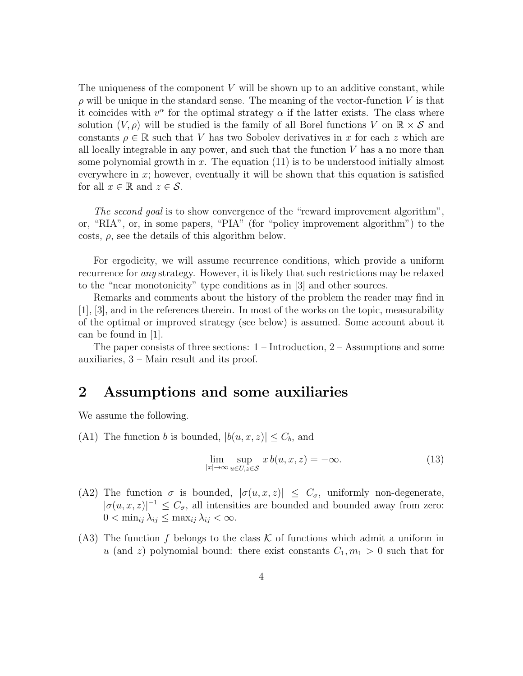The uniqueness of the component  $V$  will be shown up to an additive constant, while  $\rho$  will be unique in the standard sense. The meaning of the vector-function V is that it coincides with  $v^{\alpha}$  for the optimal strategy  $\alpha$  if the latter exists. The class where solution  $(V, \rho)$  will be studied is the family of all Borel functions V on  $\mathbb{R} \times S$  and constants  $\rho \in \mathbb{R}$  such that V has two Sobolev derivatives in x for each z which are all locally integrable in any power, and such that the function  $V$  has a no more than some polynomial growth in  $x$ . The equation  $(11)$  is to be understood initially almost everywhere in  $x$ ; however, eventually it will be shown that this equation is satisfied for all  $x \in \mathbb{R}$  and  $z \in \mathcal{S}$ .

The second goal is to show convergence of the "reward improvement algorithm", or, "RIA", or, in some papers, "PIA" (for "policy improvement algorithm") to the costs,  $\rho$ , see the details of this algorithm below.

For ergodicity, we will assume recurrence conditions, which provide a uniform recurrence for *any* strategy. However, it is likely that such restrictions may be relaxed to the "near monotonicity" type conditions as in [3] and other sources.

Remarks and comments about the history of the problem the reader may find in [1], [3], and in the references therein. In most of the works on the topic, measurability of the optimal or improved strategy (see below) is assumed. Some account about it can be found in [1].

The paper consists of three sections:  $1$  – Introduction,  $2$  – Assumptions and some auxiliaries, 3 – Main result and its proof.

### 2 Assumptions and some auxiliaries

We assume the following.

(A1) The function b is bounded,  $|b(u, x, z)| \leq C_b$ , and

$$
\lim_{|x| \to \infty} \sup_{u \in U, z \in \mathcal{S}} x b(u, x, z) = -\infty.
$$
\n(13)

- (A2) The function  $\sigma$  is bounded,  $|\sigma(u, x, z)| \leq C_{\sigma}$ , uniformly non-degenerate,  $|\sigma(u, x, z)|^{-1} \leq C_{\sigma}$ , all intensities are bounded and bounded away from zero:  $0 < \min_{ij} \lambda_{ij} \leq \max_{ij} \lambda_{ij} < \infty.$
- (A3) The function f belongs to the class K of functions which admit a uniform in u (and z) polynomial bound: there exist constants  $C_1, m_1 > 0$  such that for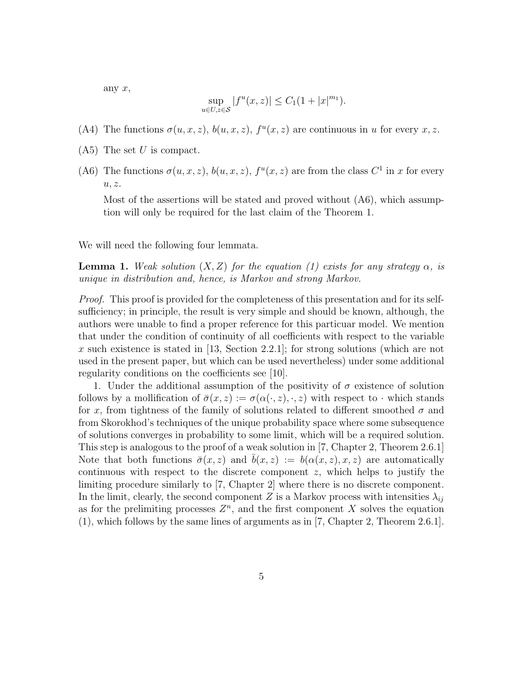any  $x$ ,

$$
\sup_{u \in U, z \in S} |f^u(x, z)| \le C_1 (1 + |x|^{m_1}).
$$

- (A4) The functions  $\sigma(u, x, z)$ ,  $b(u, x, z)$ ,  $f^u(x, z)$  are continuous in u for every x, z.
- $(A5)$  The set U is compact.
- (A6) The functions  $\sigma(u, x, z)$ ,  $b(u, x, z)$ ,  $f^u(x, z)$  are from the class  $C^1$  in x for every  $u, z.$

Most of the assertions will be stated and proved without (A6), which assumption will only be required for the last claim of the Theorem 1.

We will need the following four lemmata.

**Lemma 1.** Weak solution  $(X, Z)$  for the equation (1) exists for any strategy  $\alpha$ , is unique in distribution and, hence, is Markov and strong Markov.

Proof. This proof is provided for the completeness of this presentation and for its selfsufficiency; in principle, the result is very simple and should be known, although, the authors were unable to find a proper reference for this particuar model. We mention that under the condition of continuity of all coefficients with respect to the variable x such existence is stated in [13, Section 2.2.1]; for strong solutions (which are not used in the present paper, but which can be used nevertheless) under some additional regularity conditions on the coefficients see [10].

1. Under the additional assumption of the positivity of  $\sigma$  existence of solution follows by a mollification of  $\bar{\sigma}(x, z) := \sigma(\alpha(\cdot, z), \cdot, z)$  with respect to  $\cdot$  which stands for x, from tightness of the family of solutions related to different smoothed  $\sigma$  and from Skorokhod's techniques of the unique probability space where some subsequence of solutions converges in probability to some limit, which will be a required solution. This step is analogous to the proof of a weak solution in [7, Chapter 2, Theorem 2.6.1] Note that both functions  $\bar{\sigma}(x, z)$  and  $\bar{b}(x, z) := b(\alpha(x, z), x, z)$  are automatically continuous with respect to the discrete component  $z$ , which helps to justify the limiting procedure similarly to [7, Chapter 2] where there is no discrete component. In the limit, clearly, the second component Z is a Markov process with intensities  $\lambda_{ii}$ as for the prelimiting processes  $Z<sup>n</sup>$ , and the first component X solves the equation (1), which follows by the same lines of arguments as in [7, Chapter 2, Theorem 2.6.1].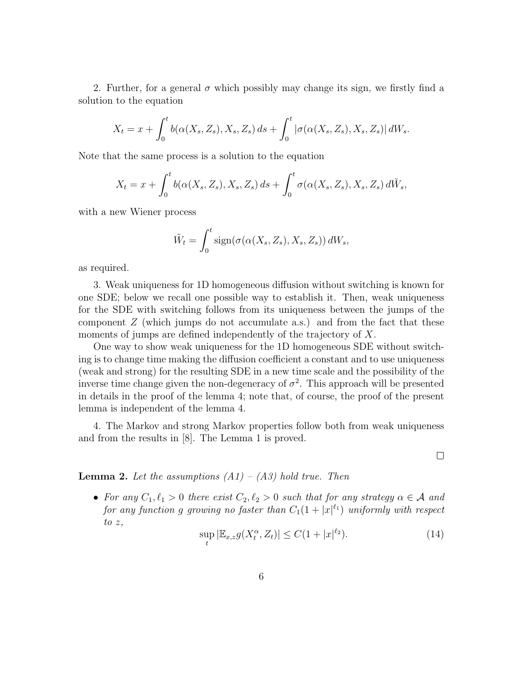2. Further, for a general  $\sigma$  which possibly may change its sign, we firstly find a solution to the equation

$$
X_t = x + \int_0^t b(\alpha(X_s, Z_s), X_s, Z_s) ds + \int_0^t |\sigma(\alpha(X_s, Z_s), X_s, Z_s)| dW_s.
$$

Note that the same process is a solution to the equation

$$
X_t = x + \int_0^t b(\alpha(X_s, Z_s), X_s, Z_s) ds + \int_0^t \sigma(\alpha(X_s, Z_s), X_s, Z_s) d\tilde{W}_s,
$$

with a new Wiener process

$$
\tilde{W}_t = \int_0^t \text{sign}(\sigma(\alpha(X_s, Z_s), X_s, Z_s)) dW_s,
$$

as required.

3. Weak uniqueness for 1D homogeneous diffusion without switching is known for one SDE; below we recall one possible way to establish it. Then, weak uniqueness for the SDE with switching follows from its uniqueness between the jumps of the component  $Z$  (which jumps do not accumulate a.s.) and from the fact that these moments of jumps are defined independently of the trajectory of X.

One way to show weak uniqueness for the 1D homogeneous SDE without switching is to change time making the diffusion coefficient a constant and to use uniqueness (weak and strong) for the resulting SDE in a new time scale and the possibility of the inverse time change given the non-degeneracy of  $\sigma^2$ . This approach will be presented in details in the proof of the lemma 4; note that, of course, the proof of the present lemma is independent of the lemma 4.

4. The Markov and strong Markov properties follow both from weak uniqueness and from the results in [8]. The Lemma 1 is proved.

**Lemma 2.** Let the assumptions  $(A1) - (A3)$  hold true. Then

• For any  $C_1, \ell_1 > 0$  there exist  $C_2, \ell_2 > 0$  such that for any strategy  $\alpha \in \mathcal{A}$  and for any function g growing no faster than  $C_1(1+|x|^{\ell_1})$  uniformly with respect to  $z$ ,

$$
\sup_{t} |\mathbb{E}_{x,z} g(X_t^{\alpha}, Z_t)| \le C(1+|x|^{\ell_2}). \tag{14}
$$

 $\Box$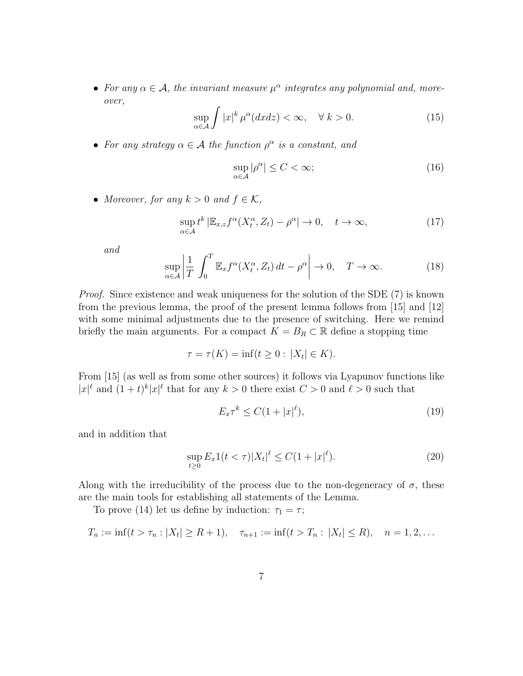• For any  $\alpha \in \mathcal{A}$ , the invariant measure  $\mu^{\alpha}$  integrates any polynomial and, moreover,

$$
\sup_{\alpha \in \mathcal{A}} \int |x|^k \,\mu^{\alpha}(dx dz) < \infty, \quad \forall \, k > 0. \tag{15}
$$

• For any strategy  $\alpha \in \mathcal{A}$  the function  $\rho^{\alpha}$  is a constant, and

$$
\sup_{\alpha \in \mathcal{A}} |\rho^{\alpha}| \le C < \infty; \tag{16}
$$

• Moreover, for any  $k > 0$  and  $f \in \mathcal{K}$ ,

$$
\sup_{\alpha \in \mathcal{A}} t^k \left| \mathbb{E}_{x,z} f^{\alpha}(X_t^{\alpha}, Z_t) - \rho^{\alpha} \right| \to 0, \quad t \to \infty,
$$
\n(17)

and

$$
\sup_{\alpha \in \mathcal{A}} \left| \frac{1}{T} \int_0^T \mathbb{E}_x f^{\alpha}(X_t^{\alpha}, Z_t) dt - \rho^{\alpha} \right| \to 0, \quad T \to \infty.
$$
 (18)

Proof. Since existence and weak uniqueness for the solution of the SDE (7) is known from the previous lemma, the proof of the present lemma follows from [15] and [12] with some minimal adjustments due to the presence of switching. Here we remind briefly the main arguments. For a compact  $K = B_R \subset \mathbb{R}$  define a stopping time

$$
\tau = \tau(K) = \inf(t \ge 0 : |X_t| \in K).
$$

From [15] (as well as from some other sources) it follows via Lyapunov functions like  $|x|^{\ell}$  and  $(1+t)^k |x|^{\ell}$  that for any  $k > 0$  there exist  $C > 0$  and  $\ell > 0$  such that

$$
E_x \tau^k \le C(1+|x|^\ell),\tag{19}
$$

and in addition that

$$
\sup_{t\geq 0} E_x 1(t<\tau) |X_t|^{\ell} \leq C(1+|x|^{\ell}).\tag{20}
$$

Along with the irreducibility of the process due to the non-degeneracy of  $\sigma$ , these are the main tools for establishing all statements of the Lemma.

To prove (14) let us define by induction:  $\tau_1 = \tau$ ;

$$
T_n := \inf(t > \tau_n : |X_t| \ge R + 1), \quad \tau_{n+1} := \inf(t > T_n : |X_t| \le R), \quad n = 1, 2, \dots
$$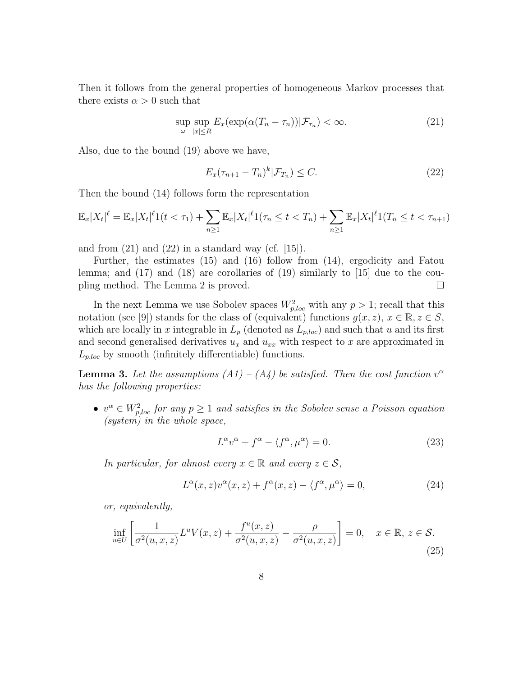Then it follows from the general properties of homogeneous Markov processes that there exists  $\alpha > 0$  such that

$$
\sup_{\omega} \sup_{|x| \le R} E_x(\exp(\alpha (T_n - \tau_n)) | \mathcal{F}_{\tau_n}) < \infty. \tag{21}
$$

Also, due to the bound (19) above we have,

$$
E_x(\tau_{n+1} - T_n)^k | \mathcal{F}_{T_n}) \le C. \tag{22}
$$

Then the bound (14) follows form the representation

$$
\mathbb{E}_x |X_t|^{\ell} = \mathbb{E}_x |X_t|^{\ell} 1(t < \tau_1) + \sum_{n \ge 1} \mathbb{E}_x |X_t|^{\ell} 1(\tau_n \le t < T_n) + \sum_{n \ge 1} \mathbb{E}_x |X_t|^{\ell} 1(T_n \le t < \tau_{n+1})
$$

and from  $(21)$  and  $(22)$  in a standard way  $(cf. [15])$ .

Further, the estimates (15) and (16) follow from (14), ergodicity and Fatou lemma; and (17) and (18) are corollaries of (19) similarly to [15] due to the coupling method. The Lemma 2 is proved.  $\Box$ 

In the next Lemma we use Sobolev spaces  $W_{p,loc}^2$  with any  $p > 1$ ; recall that this notation (see [9]) stands for the class of (equivalent) functions  $g(x, z)$ ,  $x \in \mathbb{R}, z \in S$ , which are locally in x integrable in  $L_p$  (denoted as  $L_{p,loc}$ ) and such that u and its first and second generalised derivatives  $u_x$  and  $u_{xx}$  with respect to x are approximated in  $L_{p,loc}$  by smooth (infinitely differentiable) functions.

**Lemma 3.** Let the assumptions  $(A1) - (A4)$  be satisfied. Then the cost function  $v^{\alpha}$ has the following properties:

•  $v^{\alpha} \in W_{p,loc}^2$  for any  $p \ge 1$  and satisfies in the Sobolev sense a Poisson equation (system) in the whole space,

$$
L^{\alpha}v^{\alpha} + f^{\alpha} - \langle f^{\alpha}, \mu^{\alpha} \rangle = 0. \tag{23}
$$

In particular, for almost every  $x \in \mathbb{R}$  and every  $z \in \mathcal{S}$ ,

$$
L^{\alpha}(x, z)v^{\alpha}(x, z) + f^{\alpha}(x, z) - \langle f^{\alpha}, \mu^{\alpha} \rangle = 0,
$$
\n(24)

or, equivalently,

$$
\inf_{u \in U} \left[ \frac{1}{\sigma^2(u, x, z)} L^u V(x, z) + \frac{f^u(x, z)}{\sigma^2(u, x, z)} - \frac{\rho}{\sigma^2(u, x, z)} \right] = 0, \quad x \in \mathbb{R}, \ z \in \mathcal{S}.
$$
\n(25)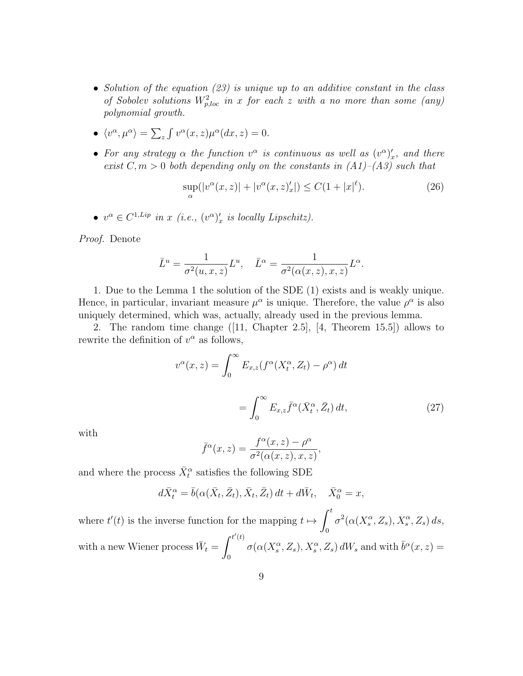- Solution of the equation (23) is unique up to an additive constant in the class of Sobolev solutions  $W_{p,loc}^2$  in x for each z with a no more than some (any) polynomial growth.
- $\langle v^{\alpha}, \mu^{\alpha} \rangle = \sum_{z} \int v^{\alpha}(x, z) \mu^{\alpha}(dx, z) = 0.$
- For any strategy  $\alpha$  the function  $v^{\alpha}$  is continuous as well as  $(v^{\alpha})'_{x}$ , and there exist  $C, m > 0$  both depending only on the constants in  $(A1)$ – $(A3)$  such that

$$
\sup_{\alpha}(|v^{\alpha}(x,z)| + |v^{\alpha}(x,z)'_{x}|) \le C(1 + |x|^{\ell}).
$$
\n(26)

•  $v^{\alpha} \in C^{1,Lip}$  in x (i.e.,  $(v^{\alpha})'_{x}$  is locally Lipschitz).

Proof. Denote

$$
\bar{L}^u = \frac{1}{\sigma^2(u, x, z)} L^u, \quad \bar{L}^\alpha = \frac{1}{\sigma^2(\alpha(x, z), x, z)} L^\alpha.
$$

1. Due to the Lemma 1 the solution of the SDE (1) exists and is weakly unique. Hence, in particular, invariant measure  $\mu^{\alpha}$  is unique. Therefore, the value  $\rho^{\alpha}$  is also uniquely determined, which was, actually, already used in the previous lemma.

2. The random time change ([11, Chapter 2.5], [4, Theorem 15.5]) allows to rewrite the definition of  $v^{\alpha}$  as follows,

$$
v^{\alpha}(x, z) = \int_0^{\infty} E_{x, z} (f^{\alpha}(X_t^{\alpha}, Z_t) - \rho^{\alpha}) dt
$$

$$
= \int_0^{\infty} E_{x, z} \bar{f}^{\alpha}(\bar{X}_t^{\alpha}, \bar{Z}_t) dt,
$$
(27)

with

$$
\bar{f}^{\alpha}(x,z) = \frac{f^{\alpha}(x,z) - \rho^{\alpha}}{\sigma^2(\alpha(x,z),x,z)},
$$

and where the process  $\bar{X}^{\alpha}_t$  satisfies the following SDE

$$
d\bar{X}_t^{\alpha} = \bar{b}(\alpha(\bar{X}_t, \bar{Z}_t), \bar{X}_t, \bar{Z}_t) dt + d\bar{W}_t, \quad \bar{X}_0^{\alpha} = x,
$$

where  $t'(t)$  is the inverse function for the mapping  $t \mapsto \int_0^t$ 0  $\sigma^2(\alpha(X_s^{\alpha}, Z_s), X_s^{\alpha}, Z_s) ds,$ with a new Wiener process  $\bar{W}_t =$  $\int^{t'(t)}$ 0  $\sigma(\alpha(X_s^{\alpha}, Z_s), X_s^{\alpha}, Z_s) dW_s$  and with  $\bar{b}^{\alpha}(x, z) =$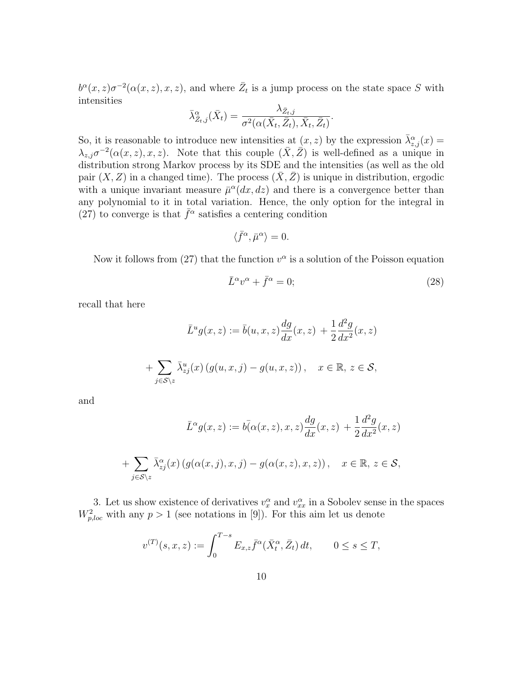$b^{\alpha}(x, z)\sigma^{-2}(\alpha(x, z), x, z)$ , and where  $\overline{Z}_t$  is a jump process on the state space S with intensities

$$
\bar{\lambda}_{\bar{Z}_t,j}^{\alpha}(\bar{X}_t) = \frac{\lambda_{\bar{Z}_t,j}}{\sigma^2(\alpha(\bar{X}_t, \bar{Z}_t), \bar{X}_t, \bar{Z}_t)}.
$$

So, it is reasonable to introduce new intensities at  $(x, z)$  by the expression  $\bar{\lambda}_{z,j}^{\alpha}(x) =$  $\lambda_{z,i}\sigma^{-2}(\alpha(x,z),x,z)$ . Note that this couple  $(\bar{X},\bar{Z})$  is well-defined as a unique in distribution strong Markov process by its SDE and the intensities (as well as the old pair  $(X, Z)$  in a changed time). The process  $(\overline{X}, \overline{Z})$  is unique in distribution, ergodic with a unique invariant measure  $\bar{\mu}^{\alpha}(dx, dz)$  and there is a convergence better than any polynomial to it in total variation. Hence, the only option for the integral in (27) to converge is that  $\bar{f}^{\alpha}$  satisfies a centering condition

$$
\langle \bar{f}^{\alpha}, \bar{\mu}^{\alpha} \rangle = 0.
$$

Now it follows from (27) that the function  $v^{\alpha}$  is a solution of the Poisson equation

$$
\bar{L}^{\alpha}v^{\alpha} + \bar{f}^{\alpha} = 0; \tag{28}
$$

recall that here

$$
\bar{L}^u g(x, z) := \bar{b}(u, x, z) \frac{dg}{dx}(x, z) + \frac{1}{2} \frac{d^2 g}{dx^2}(x, z)
$$

$$
+ \sum_{j \in \mathcal{S} \setminus z} \bar{\lambda}^u_{zj}(x) \left( g(u, x, j) - g(u, x, z) \right), \quad x \in \mathbb{R}, z \in \mathcal{S},
$$

and

$$
\bar{L}^{\alpha}g(x, z) := b\bar{(\alpha}(x, z), x, z)\frac{dg}{dx}(x, z) + \frac{1}{2}\frac{d^2g}{dx^2}(x, z)
$$

$$
+ \sum_{j \in S \setminus z} \bar{\lambda}_{zj}^{\alpha}(x) \left( g(\alpha(x, j), x, j) - g(\alpha(x, z), x, z) \right), \quad x \in \mathbb{R}, z \in S,
$$

3. Let us show existence of derivatives  $v_x^{\alpha}$  and  $v_{xx}^{\alpha}$  in a Sobolev sense in the spaces  $W_{p,loc}^2$  with any  $p > 1$  (see notations in [9]). For this aim let us denote

$$
v^{(T)}(s,x,z) := \int_0^{T-s} E_{x,z} \bar{f}^\alpha(\bar{X}_t^\alpha, \bar{Z}_t) dt, \qquad 0 \le s \le T,
$$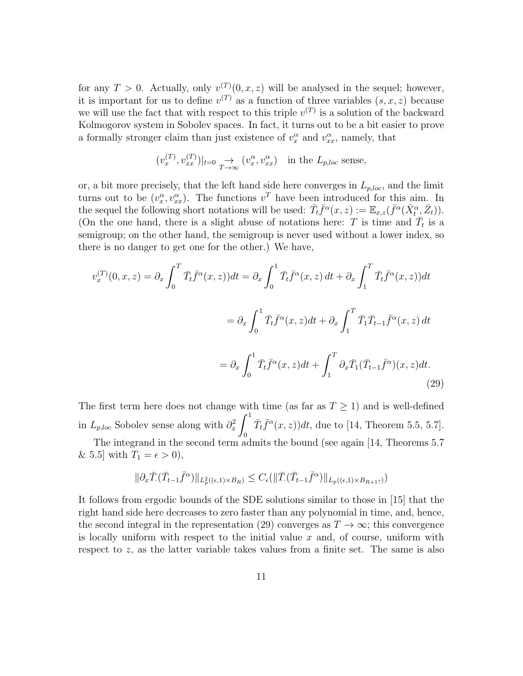for any  $T > 0$ . Actually, only  $v^{(T)}(0, x, z)$  will be analysed in the sequel; however, it is important for us to define  $v^{(T)}$  as a function of three variables  $(s, x, z)$  because we will use the fact that with respect to this triple  $v^{(T)}$  is a solution of the backward Kolmogorov system in Sobolev spaces. In fact, it turns out to be a bit easier to prove a formally stronger claim than just existence of  $v_x^{\alpha}$  and  $v_{xx}^{\alpha}$ , namely, that

$$
(v_x^{(T)}, v_{xx}^{(T)})|_{t=0} \rightarrow \widetilde{\phi}_{T \to \infty} (v_x^{\alpha}, v_{xx}^{\alpha})
$$
 in the  $L_{p,loc}$  sense,

or, a bit more precisely, that the left hand side here converges in  $L_{p,loc}$ , and the limit turns out to be  $(v_x^{\alpha}, v_{xx}^{\alpha})$ . The functions  $v^T$  have been introduced for this aim. In the sequel the following short notations will be used:  $\bar{T}_t \bar{f}^\alpha(x, z) := \mathbb{E}_{x, z}(\bar{f}^\alpha(\bar{X}_t^{\alpha}, \bar{Z}_t)).$ (On the one hand, there is a slight abuse of notations here: T is time and  $\overline{T}_t$  is a semigroup; on the other hand, the semigroup is never used without a lower index, so there is no danger to get one for the other.) We have,

$$
v_x^{(T)}(0, x, z) = \partial_x \int_0^T \bar{T}_t \bar{f}^\alpha(x, z) dt = \partial_x \int_0^1 \bar{T}_t \bar{f}^\alpha(x, z) dt + \partial_x \int_1^T \bar{T}_t \bar{f}^\alpha(x, z) dt
$$

$$
= \partial_x \int_0^1 \bar{T}_t \bar{f}^\alpha(x, z) dt + \partial_x \int_1^T \bar{T}_t \bar{T}_{t-1} \bar{f}^\alpha(x, z) dt
$$

$$
= \partial_x \int_0^1 \bar{T}_t \bar{f}^\alpha(x, z) dt + \int_1^T \partial_x \bar{T}_t (\bar{T}_{t-1} \bar{f}^\alpha)(x, z) dt.
$$
(29)

The first term here does not change with time (as far as  $T \ge 1$ ) and is well-defined in  $L_{p,loc}$  Sobolev sense along with  $\partial_x^2$  $\int_0^1$ 0  $\bar{T}_t \bar{f}^{\alpha}(x, z) dt$ , due to [14, Theorem 5.5, 5.7].

The integrand in the second term admits the bound (see again [14, Theorems 5.7 & 5.5 with  $T_1 = \epsilon > 0$ ,

$$
\|\partial_x \bar{T}.(\bar{T}_{t-1}\bar{f}^\alpha)\|_{L^2_p((\epsilon,1)\times B_R)} \leq C_\epsilon(\|\bar{T}.(\bar{T}_{t-1}\bar{f}^\alpha)\|_{L_p((\epsilon,1)\times B_{R+1?})})
$$

It follows from ergodic bounds of the SDE solutions similar to those in [15] that the right hand side here decreases to zero faster than any polynomial in time, and, hence, the second integral in the representation (29) converges as  $T \to \infty$ ; this convergence is locally uniform with respect to the initial value  $x$  and, of course, uniform with respect to z, as the latter variable takes values from a finite set. The same is also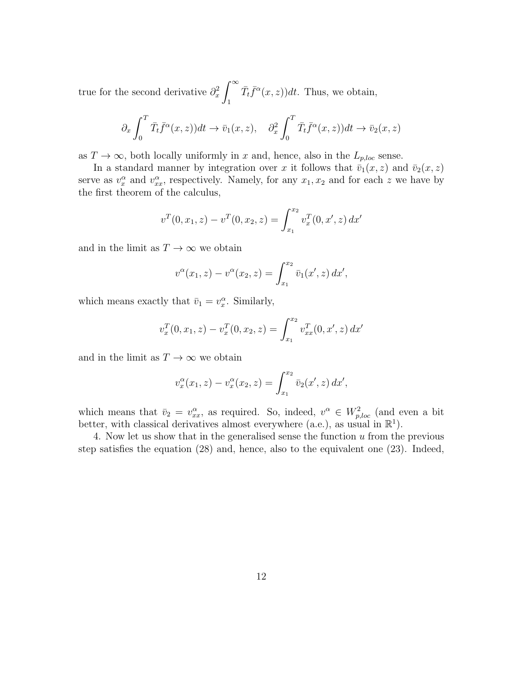true for the second derivative  $\partial_x^2$  $\int^{\infty}$ 1  $\bar{T}_t \bar{f}^{\alpha}(x, z) dt$ . Thus, we obtain,

$$
\partial_x \int_0^T \bar{T}_t \bar{f}^\alpha(x, z) dt \to \bar{v}_1(x, z), \quad \partial_x^2 \int_0^T \bar{T}_t \bar{f}^\alpha(x, z) dt \to \bar{v}_2(x, z)
$$

as  $T \to \infty$ , both locally uniformly in x and, hence, also in the  $L_{p,loc}$  sense.

In a standard manner by integration over x it follows that  $\bar{v}_1(x, z)$  and  $\bar{v}_2(x, z)$ serve as  $v_x^{\alpha}$  and  $v_{xx}^{\alpha}$ , respectively. Namely, for any  $x_1, x_2$  and for each z we have by the first theorem of the calculus,

$$
v^{T}(0, x_{1}, z) - v^{T}(0, x_{2}, z) = \int_{x_{1}}^{x_{2}} v_{x}^{T}(0, x', z) dx'
$$

and in the limit as  $T \to \infty$  we obtain

$$
v^{\alpha}(x_1, z) - v^{\alpha}(x_2, z) = \int_{x_1}^{x_2} \bar{v}_1(x', z) dx',
$$

which means exactly that  $\bar{v}_1 = v_x^{\alpha}$ . Similarly,

$$
v_x^T(0, x_1, z) - v_x^T(0, x_2, z) = \int_{x_1}^{x_2} v_{xx}^T(0, x', z) dx'
$$

and in the limit as  $T \to \infty$  we obtain

$$
v_x^{\alpha}(x_1, z) - v_x^{\alpha}(x_2, z) = \int_{x_1}^{x_2} \bar{v}_2(x', z) dx',
$$

which means that  $\bar{v}_2 = v_{xx}^{\alpha}$ , as required. So, indeed,  $v^{\alpha} \in W_{p,loc}^2$  (and even a bit better, with classical derivatives almost everywhere (a.e.), as usual in  $\mathbb{R}^1$ ).

4. Now let us show that in the generalised sense the function u from the previous step satisfies the equation (28) and, hence, also to the equivalent one (23). Indeed,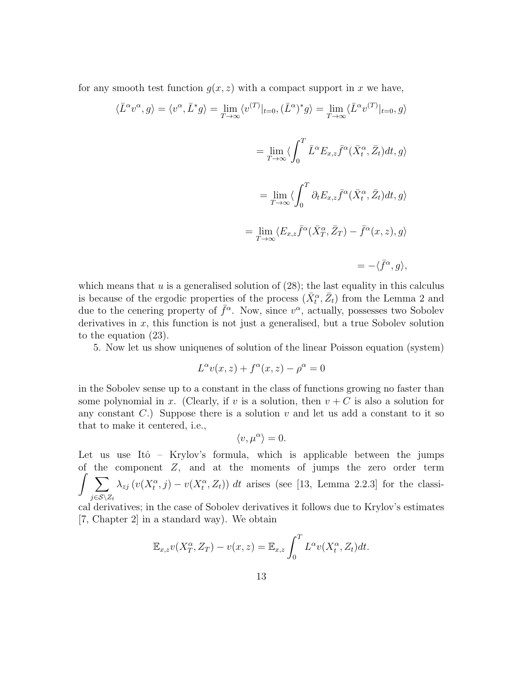for any smooth test function  $g(x, z)$  with a compact support in x we have,

$$
\langle \bar{L}^{\alpha} v^{\alpha}, g \rangle = \langle v^{\alpha}, \bar{L}^{*} g \rangle = \lim_{T \to \infty} \langle v^{(T)} |_{t=0}, (\bar{L}^{\alpha})^{*} g \rangle = \lim_{T \to \infty} \langle \bar{L}^{\alpha} v^{(T)} |_{t=0}, g \rangle
$$
  

$$
= \lim_{T \to \infty} \langle \int_{0}^{T} \bar{L}^{\alpha} E_{x,z} \bar{f}^{\alpha} (\bar{X}_{t}^{\alpha}, \bar{Z}_{t}) dt, g \rangle
$$
  

$$
= \lim_{T \to \infty} \langle \int_{0}^{T} \partial_{t} E_{x,z} \bar{f}^{\alpha} (\bar{X}_{t}^{\alpha}, \bar{Z}_{t}) dt, g \rangle
$$
  

$$
= \lim_{T \to \infty} \langle E_{x,z} \bar{f}^{\alpha} (\bar{X}_{T}^{\alpha}, \bar{Z}_{T}) - \bar{f}^{\alpha} (x, z), g \rangle
$$
  

$$
= -\langle \bar{f}^{\alpha}, g \rangle,
$$

which means that  $u$  is a generalised solution of  $(28)$ ; the last equality in this calculus is because of the ergodic properties of the process  $(\bar{X}_t^{\alpha}, \bar{Z}_t)$  from the Lemma 2 and due to the cenering property of  $\bar{f}^{\alpha}$ . Now, since  $v^{\alpha}$ , actually, possesses two Sobolev derivatives in  $x$ , this function is not just a generalised, but a true Sobolev solution to the equation (23).

5. Now let us show uniquenes of solution of the linear Poisson equation (system)

$$
L^{\alpha}v(x,z) + f^{\alpha}(x,z) - \rho^{\alpha} = 0
$$

in the Sobolev sense up to a constant in the class of functions growing no faster than some polynomial in x. (Clearly, if v is a solution, then  $v + C$  is also a solution for any constant  $C$ .) Suppose there is a solution v and let us add a constant to it so that to make it centered, i.e.,

$$
\langle v, \mu^{\alpha} \rangle = 0.
$$

Let us use Itô – Krylov's formula, which is applicable between the jumps of the component Z, and at the moments of jumps the zero order term  $\int \nabla$ j $\in$ S $\setminus Z_t$  $\lambda_{zj}$  ( $v(X_t^{\alpha},j) - v(X_t^{\alpha}, Z_t)$ ) dt arises (see [13, Lemma 2.2.3] for the classi-

cal derivatives; in the case of Sobolev derivatives it follows due to Krylov's estimates [7, Chapter 2] in a standard way). We obtain

$$
\mathbb{E}_{x,z}v(X_T^{\alpha}, Z_T) - v(x,z) = \mathbb{E}_{x,z} \int_0^T L^{\alpha}v(X_t^{\alpha}, Z_t)dt.
$$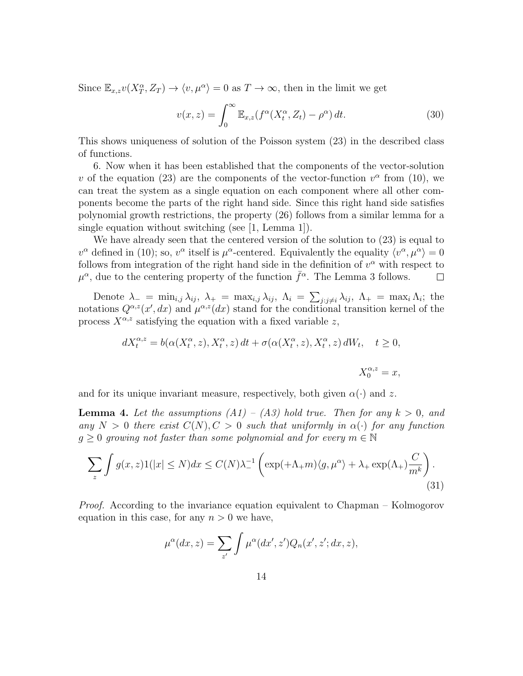Since  $\mathbb{E}_{x,z}v(X_T^{\alpha}, Z_T) \to \langle v, \mu^{\alpha} \rangle = 0$  as  $T \to \infty$ , then in the limit we get

$$
v(x,z) = \int_0^\infty \mathbb{E}_{x,z} (f^\alpha(X_t^\alpha, Z_t) - \rho^\alpha) dt.
$$
 (30)

This shows uniqueness of solution of the Poisson system (23) in the described class of functions.

6. Now when it has been established that the components of the vector-solution v of the equation (23) are the components of the vector-function  $v^{\alpha}$  from (10), we can treat the system as a single equation on each component where all other components become the parts of the right hand side. Since this right hand side satisfies polynomial growth restrictions, the property (26) follows from a similar lemma for a single equation without switching (see [1, Lemma 1]).

We have already seen that the centered version of the solution to  $(23)$  is equal to  $v^{\alpha}$  defined in (10); so,  $v^{\alpha}$  itself is  $\mu^{\alpha}$ -centered. Equivalently the equality  $\langle v^{\alpha}, \mu^{\alpha} \rangle = 0$ follows from integration of the right hand side in the definition of  $v^{\alpha}$  with respect to  $\mu^{\alpha}$ , due to the centering property of the function  $\bar{f}^{\alpha}$ . The Lemma 3 follows.  $\Box$ 

Denote  $\lambda_{-} = \min_{i,j} \lambda_{ij}, \lambda_{+} = \max_{i,j} \lambda_{ij}, \Lambda_{i} = \sum_{j:j\neq i} \lambda_{ij}, \Lambda_{+} = \max_{i} \Lambda_{i};$  the notations  $Q^{\alpha,z}(x',dx)$  and  $\mu^{\alpha,z}(dx)$  stand for the conditional transition kernel of the process  $X^{\alpha,z}$  satisfying the equation with a fixed variable z,

$$
dX_t^{\alpha,z} = b(\alpha(X_t^{\alpha}, z), X_t^{\alpha}, z) dt + \sigma(\alpha(X_t^{\alpha}, z), X_t^{\alpha}, z) dW_t, \quad t \ge 0,
$$
  

$$
X_0^{\alpha,z} = x,
$$

and for its unique invariant measure, respectively, both given  $\alpha(\cdot)$  and z.

**Lemma 4.** Let the assumptions  $(A1) - (A3)$  hold true. Then for any  $k > 0$ , and any  $N > 0$  there exist  $C(N), C > 0$  such that uniformly in  $\alpha(\cdot)$  for any function  $g \geq 0$  growing not faster than some polynomial and for every  $m \in \mathbb{N}$ 

$$
\sum_{z} \int g(x, z) \mathbb{1}(|x| \le N) dx \le C(N) \lambda^{-1} \left( \exp(+\Lambda_{+} m) \langle g, \mu^{\alpha} \rangle + \lambda_{+} \exp(\Lambda_{+}) \frac{C}{m^{k}} \right). \tag{31}
$$

Proof. According to the invariance equation equivalent to Chapman – Kolmogorov equation in this case, for any  $n > 0$  we have,

$$
\mu^{\alpha}(dx, z) = \sum_{z'} \int \mu^{\alpha}(dx', z') Q_n(x', z'; dx, z),
$$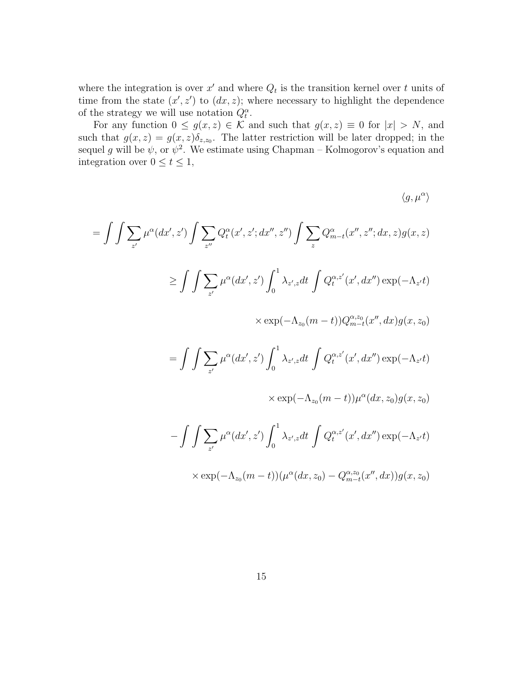where the integration is over  $x'$  and where  $Q_t$  is the transition kernel over t units of time from the state  $(x', z')$  to  $(dx, z)$ ; where necessary to highlight the dependence of the strategy we will use notation  $Q_t^{\alpha}$ .

For any function  $0 \le g(x, z) \in \mathcal{K}$  and such that  $g(x, z) \equiv 0$  for  $|x| > N$ , and such that  $g(x, z) = g(x, z) \delta_{z, z_0}$ . The latter restriction will be later dropped; in the sequel g will be  $\psi$ , or  $\psi^2$ . We estimate using Chapman – Kolmogorov's equation and integration over  $0 \le t \le 1$ ,

$$
\langle g, \mu^{\alpha} \rangle
$$
  
\n
$$
= \int \int \sum_{z'} \mu^{\alpha}(dx', z') \int \sum_{z''} Q_t^{\alpha}(x', z'; dx'', z'') \int \sum_{z} Q_{m-t}^{\alpha}(x'', z''; dx, z) g(x, z)
$$
  
\n
$$
\geq \int \int \sum_{z'} \mu^{\alpha}(dx', z') \int_0^1 \lambda_{z',z} dt \int Q_t^{\alpha, z'}(x', dx'') \exp(-\Lambda_{z'}t)
$$
  
\n
$$
\times \exp(-\Lambda_{z_0}(m-t)) Q_{m-t}^{\alpha, z_0}(x'', dx) g(x, z_0)
$$
  
\n
$$
= \int \int \sum_{z'} \mu^{\alpha}(dx', z') \int_0^1 \lambda_{z',z} dt \int Q_t^{\alpha, z'}(x', dx'') \exp(-\Lambda_{z'}t)
$$
  
\n
$$
\times \exp(-\Lambda_{z_0}(m-t)) \mu^{\alpha}(dx, z_0) g(x, z_0)
$$
  
\n
$$
- \int \int \sum_{z'} \mu^{\alpha}(dx', z') \int_0^1 \lambda_{z',z} dt \int Q_t^{\alpha, z'}(x', dx'') \exp(-\Lambda_{z'}t)
$$
  
\n
$$
\times \exp(-\Lambda_{z_0}(m-t)) (\mu^{\alpha}(dx, z_0) - Q_{m-t}^{\alpha, z_0}(x'', dx)) g(x, z_0)
$$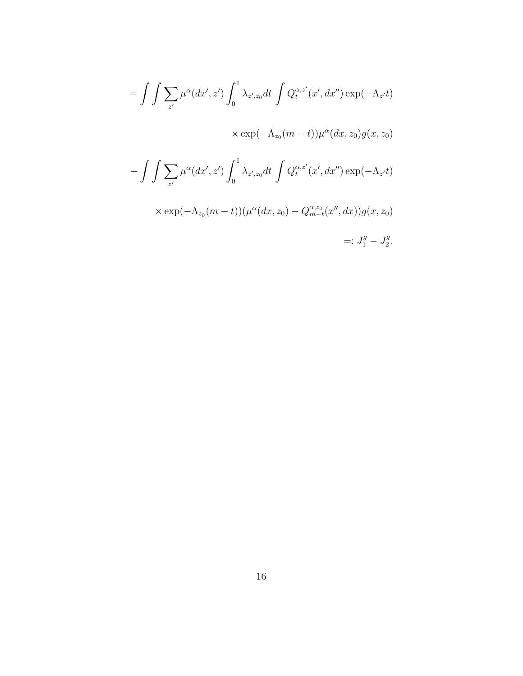$$
= \int \int \sum_{z'} \mu^{\alpha}(dx', z') \int_0^1 \lambda_{z', z_0} dt \int Q_t^{\alpha, z'}(x', dx'') \exp(-\Lambda_{z'}t)
$$
  

$$
\times \exp(-\Lambda_{z_0}(m-t)) \mu^{\alpha}(dx, z_0) g(x, z_0)
$$
  

$$
- \int \int \sum_{z'} \mu^{\alpha}(dx', z') \int_0^1 \lambda_{z', z_0} dt \int Q_t^{\alpha, z'}(x', dx'') \exp(-\Lambda_{z'}t)
$$
  

$$
\times \exp(-\Lambda_{z_0}(m-t)) (\mu^{\alpha}(dx, z_0) - Q_{m-t}^{\alpha, z_0}(x'', dx)) g(x, z_0)
$$
  

$$
=: J_1^g - J_2^g.
$$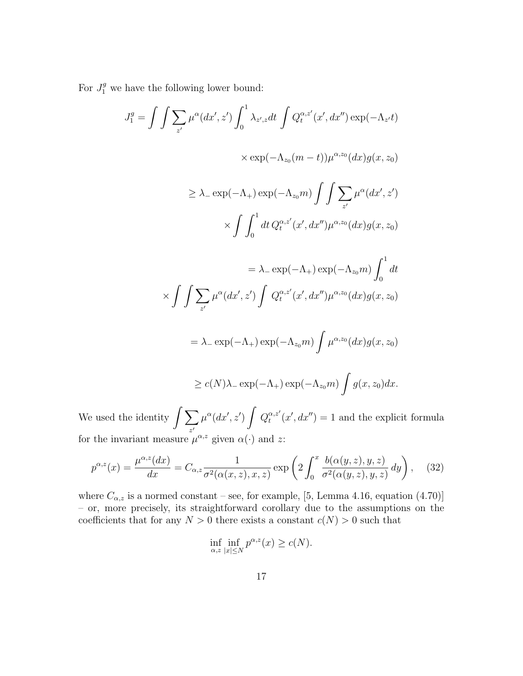For  $J_1^g$  we have the following lower bound:

$$
J_1^g = \int \int \sum_{z'} \mu^{\alpha}(dx', z') \int_0^1 \lambda_{z',z} dt \int Q_t^{\alpha, z'}(x', dx'') \exp(-\Lambda_{z'}t)
$$
  

$$
\times \exp(-\Lambda_{z_0}(m-t)) \mu^{\alpha, z_0}(dx) g(x, z_0)
$$
  

$$
\geq \lambda_- \exp(-\Lambda_+) \exp(-\Lambda_{z_0}m) \int \int \sum_{z'} \mu^{\alpha}(dx', z')
$$
  

$$
\times \int \int_0^1 dt Q_t^{\alpha, z'}(x', dx'') \mu^{\alpha, z_0}(dx) g(x, z_0)
$$
  

$$
= \lambda_- \exp(-\Lambda_+) \exp(-\Lambda_{z_0}m) \int_0^1 dt
$$
  

$$
\times \int \int \sum_{z'} \mu^{\alpha}(dx', z') \int Q_t^{\alpha, z'}(x', dx'') \mu^{\alpha, z_0}(dx) g(x, z_0)
$$
  

$$
= \lambda_- \exp(-\Lambda_+) \exp(-\Lambda_{z_0}m) \int \mu^{\alpha, z_0}(dx) g(x, z_0)
$$
  

$$
\geq c(N) \lambda_- \exp(-\Lambda_+) \exp(-\Lambda_{z_0}m) \int g(x, z_0) dx.
$$

We used the identity  $\int \sum$  $z'$  $\mu^{\alpha}(dx',z')\, \int\, Q_t^{\alpha,z'}$  $t^{\alpha,z'}(x',dx'') = 1$  and the explicit formula for the invariant measure  $\mu^{\alpha,z}$  given  $\alpha(\cdot)$  and z:

$$
p^{\alpha,z}(x) = \frac{\mu^{\alpha,z}(dx)}{dx} = C_{\alpha,z} \frac{1}{\sigma^2(\alpha(x,z),x,z)} \exp\left(2 \int_0^x \frac{b(\alpha(y,z),y,z)}{\sigma^2(\alpha(y,z),y,z)} dy\right), \quad (32)
$$

where  $C_{\alpha,z}$  is a normed constant – see, for example, [5, Lemma 4.16, equation (4.70)] – or, more precisely, its straightforward corollary due to the assumptions on the coefficients that for any  $N > 0$  there exists a constant  $c(N) > 0$  such that

$$
\inf_{\alpha,z} \inf_{|x| \le N} p^{\alpha,z}(x) \ge c(N).
$$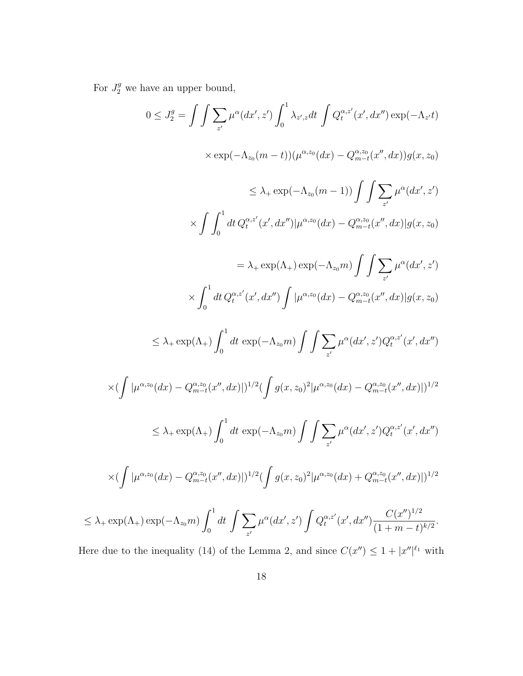For  $J_2^g$  we have an upper bound,

$$
0 \leq J_2^g = \int \int \sum_{z'} \mu^{\alpha}(dx', z') \int_0^1 \lambda_{z',z} dt \int Q_t^{\alpha, z'}(x', dx'') \exp(-\Lambda_{z'}t)
$$
  

$$
\times \exp(-\Lambda_{z_0}(m - t)) (\mu^{\alpha, z_0}(dx) - Q_{m - t}^{\alpha, z_0}(x'', dx)) g(x, z_0)
$$
  

$$
\leq \lambda_+ \exp(-\Lambda_{z_0}(m - 1)) \int \int \sum_{z'} \mu^{\alpha}(dx', z')
$$
  

$$
\times \int \int_0^1 dt Q_t^{\alpha, z'}(x', dx'') |\mu^{\alpha, z_0}(dx) - Q_{m - t}^{\alpha, z_0}(x'', dx)| g(x, z_0)
$$
  

$$
= \lambda_+ \exp(\Lambda_+) \exp(-\Lambda_{z_0}m) \int \int \sum_{z'} \mu^{\alpha}(dx', z')
$$
  

$$
\times \int_0^1 dt Q_t^{\alpha, z'}(x', dx'') \int |\mu^{\alpha, z_0}(dx) - Q_{m - t}^{\alpha, z_0}(x'', dx)| g(x, z_0)
$$
  

$$
\leq \lambda_+ \exp(\Lambda_+) \int_0^1 dt \exp(-\Lambda_{z_0}m) \int \int \sum_{z'} \mu^{\alpha}(dx', z') Q_t^{\alpha, z'}(x', dx'')
$$
  

$$
\times (\int |\mu^{\alpha, z_0}(dx) - Q_{m - t}^{\alpha, z_0}(x'', dx)|)^{1/2} (\int g(x, z_0)^2 |\mu^{\alpha, z_0}(dx) - Q_{m - t}^{\alpha, z_0}(x'', dx)|)^{1/2}
$$
  

$$
\leq \lambda_+ \exp(\Lambda_+) \int_0^1 dt \exp(-\Lambda_{z_0}m) \int \int \sum_{z'} \mu^{\alpha}(dx', z') Q_t^{\alpha, z'}(x', dx'')
$$
  

$$
\times (\int |\mu^{\alpha, z_0}(dx) - Q_{m - t}^{\alpha, z_0}(x'', dx)|)^{1/2} (\int g(x, z_0)^2 |\mu^{\alpha, z_0}(dx) + Q_{m - t}^{\alpha, z_0}(x'', dx)|)^{1/2}
$$
  

$$
\leq \lambda_+ \exp(\Lambda_+) \exp(-\Lambda_{z_0}m) \int_0^1 dt \int \sum_{z'} \
$$

Here due to the inequality (14) of the Lemma 2, and since  $C(x'') \leq 1 + |x''|^{\ell_1}$  with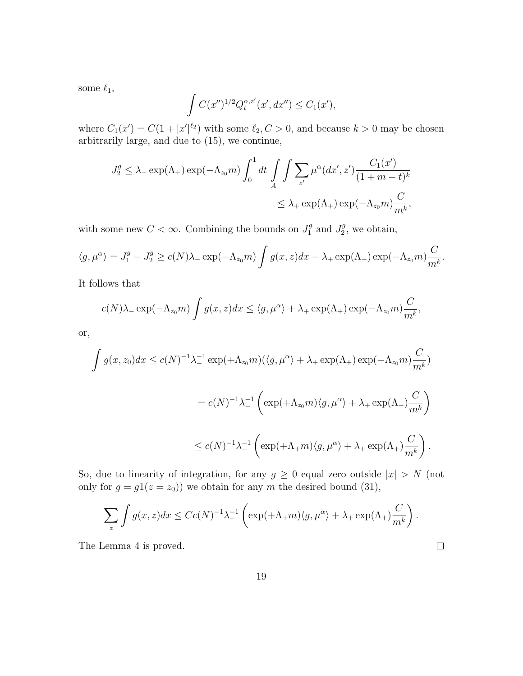some  $\ell_1,$ 

$$
\int C(x'')^{1/2} Q_t^{\alpha, z'}(x', dx'') \le C_1(x'),
$$

where  $C_1(x') = C(1+|x'|^{\ell_2})$  with some  $\ell_2, C > 0$ , and because  $k > 0$  may be chosen arbitrarily large, and due to (15), we continue,

$$
J_2^g \le \lambda_+ \exp(\Lambda_+) \exp(-\Lambda_{z_0} m) \int_0^1 dt \int_A \int \sum_{z'} \mu^{\alpha}(dx', z') \frac{C_1(x')}{(1 + m - t)^k}
$$
  

$$
\le \lambda_+ \exp(\Lambda_+) \exp(-\Lambda_{z_0} m) \frac{C}{m^k},
$$

with some new  $C < \infty$ . Combining the bounds on  $J_1^g$  $I_1^g$  and  $J_2^g$  $2^g$ , we obtain,

$$
\langle g, \mu^{\alpha} \rangle = J_1^g - J_2^g \ge c(N)\lambda_- \exp(-\Lambda_{z_0}m) \int g(x, z) dx - \lambda_+ \exp(\Lambda_+) \exp(-\Lambda_{z_0}m) \frac{C}{m^k}.
$$

It follows that

$$
c(N)\lambda_{-} \exp(-\Lambda_{z_0}m) \int g(x, z) dx \leq \langle g, \mu^{\alpha} \rangle + \lambda_{+} \exp(\Lambda_{+}) \exp(-\Lambda_{z_0}m) \frac{C}{m^k},
$$

or,

$$
\int g(x, z_0) dx \le c(N)^{-1} \lambda_-^{-1} \exp(+\Lambda_{z_0} m) (\langle g, \mu^{\alpha} \rangle + \lambda_+ \exp(\Lambda_+) \exp(-\Lambda_{z_0} m) \frac{C}{m^k})
$$
  
=  $c(N)^{-1} \lambda_-^{-1} \left( \exp(+\Lambda_{z_0} m) \langle g, \mu^{\alpha} \rangle + \lambda_+ \exp(\Lambda_+) \frac{C}{m^k} \right)$   
 $\le c(N)^{-1} \lambda_-^{-1} \left( \exp(+\Lambda_+ m) \langle g, \mu^{\alpha} \rangle + \lambda_+ \exp(\Lambda_+) \frac{C}{m^k} \right).$ 

So, due to linearity of integration, for any  $g \geq 0$  equal zero outside  $|x| > N$  (not only for  $g = g1(z = z_0)$ ) we obtain for any m the desired bound (31),

$$
\sum_{z} \int g(x, z) dx \leq C c(N)^{-1} \lambda_{-}^{-1} \left( \exp(+\Lambda_{+}m) \langle g, \mu^{\alpha} \rangle + \lambda_{+} \exp(\Lambda_{+}) \frac{C}{m^{k}} \right).
$$

 $\Box$ 

The Lemma 4 is proved.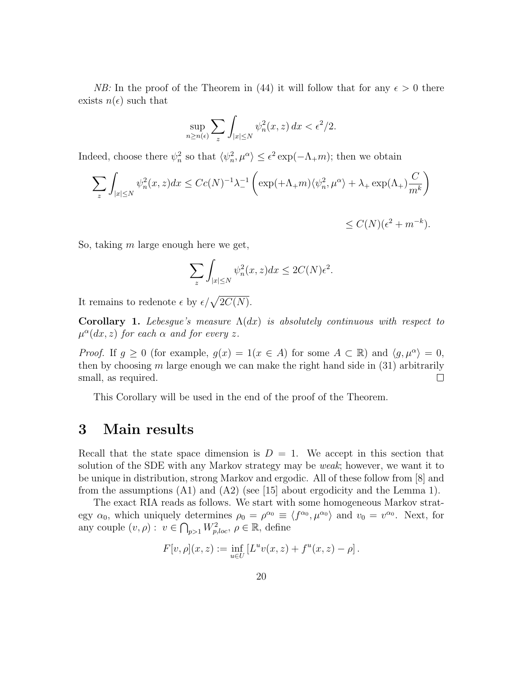*NB*: In the proof of the Theorem in (44) it will follow that for any  $\epsilon > 0$  there exists  $n(\epsilon)$  such that

$$
\sup_{n\geq n(\epsilon)} \sum_{z} \int_{|x| \leq N} \psi_n^2(x, z) \, dx < \epsilon^2/2.
$$

Indeed, choose there  $\psi_n^2$  so that  $\langle \psi_n^2, \mu^\alpha \rangle \leq \epsilon^2 \exp(-\Lambda_+ m)$ ; then we obtain

$$
\sum_{z} \int_{|x| \le N} \psi_n^2(x, z) dx \le Cc(N)^{-1} \lambda_{-}^{-1} \left( \exp(+\Lambda_+ m) \langle \psi_n^2, \mu^\alpha \rangle + \lambda_+ \exp(\Lambda_+) \frac{C}{m^k} \right)
$$

 $\leq C(N)(\epsilon^2 + m^{-k}).$ 

So, taking  $m$  large enough here we get,

$$
\sum_{z} \int_{|x| \le N} \psi_n^2(x, z) dx \le 2C(N)\epsilon^2.
$$

It remains to redenote  $\epsilon$  by  $\epsilon/\sqrt{2C(N)}$ .

Corollary 1. Lebesgue's measure  $\Lambda(dx)$  is absolutely continuous with respect to  $\mu^{\alpha}(dx, z)$  for each  $\alpha$  and for every z.

*Proof.* If  $g \ge 0$  (for example,  $g(x) = 1(x \in A)$  for some  $A \subset \mathbb{R}$ ) and  $\langle g, \mu^{\alpha} \rangle = 0$ , then by choosing  $m$  large enough we can make the right hand side in  $(31)$  arbitrarily small, as required.  $\Box$ 

This Corollary will be used in the end of the proof of the Theorem.

#### 3 Main results

Recall that the state space dimension is  $D = 1$ . We accept in this section that solution of the SDE with any Markov strategy may be weak; however, we want it to be unique in distribution, strong Markov and ergodic. All of these follow from [8] and from the assumptions  $(A1)$  and  $(A2)$  (see [15] about ergodicity and the Lemma 1).

The exact RIA reads as follows. We start with some homogeneous Markov strategy  $\alpha_0$ , which uniquely determines  $\rho_0 = \rho^{\alpha_0} \equiv \langle f^{\alpha_0}, \mu^{\alpha_0} \rangle$  and  $v_0 = v^{\alpha_0}$ . Next, for any couple  $(v, \rho) : v \in \bigcap_{p>1} W_{p,loc}^2, \rho \in \mathbb{R}$ , define

$$
F[v, \rho](x, z) := \inf_{u \in U} [L^u v(x, z) + f^u(x, z) - \rho].
$$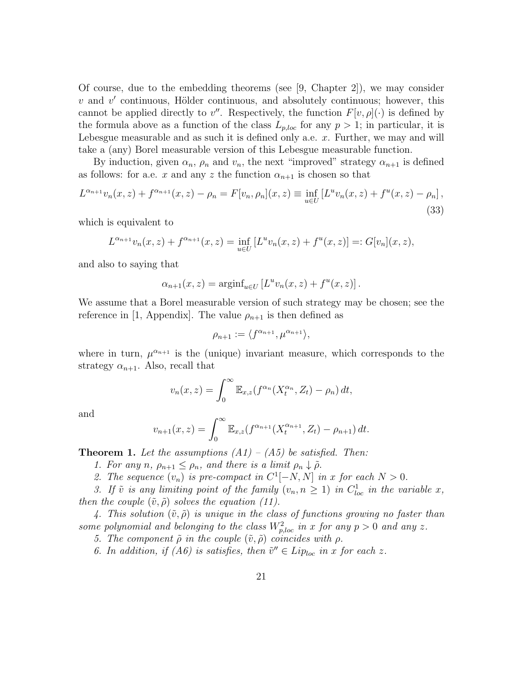Of course, due to the embedding theorems (see  $(9, \text{ Chapter } 2)$ ), we may consider  $v$  and  $v'$  continuous, Hölder continuous, and absolutely continuous; however, this cannot be applied directly to  $v''$ . Respectively, the function  $F[v, \rho](\cdot)$  is defined by the formula above as a function of the class  $L_{p,loc}$  for any  $p > 1$ ; in particular, it is Lebesgue measurable and as such it is defined only a.e. x. Further, we may and will take a (any) Borel measurable version of this Lebesgue measurable function.

By induction, given  $\alpha_n$ ,  $\rho_n$  and  $v_n$ , the next "improved" strategy  $\alpha_{n+1}$  is defined as follows: for a.e. x and any z the function  $\alpha_{n+1}$  is chosen so that

$$
L^{\alpha_{n+1}}v_n(x,z) + f^{\alpha_{n+1}}(x,z) - \rho_n = F[v_n, \rho_n](x,z) \equiv \inf_{u \in U} \left[ L^u v_n(x,z) + f^u(x,z) - \rho_n \right],\tag{33}
$$

which is equivalent to

$$
L^{\alpha_{n+1}}v_n(x, z) + f^{\alpha_{n+1}}(x, z) = \inf_{u \in U} [L^u v_n(x, z) + f^u(x, z)] =: G[v_n](x, z),
$$

and also to saying that

$$
\alpha_{n+1}(x,z) = \operatorname{arginf}_{u \in U} \left[ L^u v_n(x,z) + f^u(x,z) \right].
$$

We assume that a Borel measurable version of such strategy may be chosen; see the reference in [1, Appendix]. The value  $\rho_{n+1}$  is then defined as

$$
\rho_{n+1} := \langle f^{\alpha_{n+1}}, \mu^{\alpha_{n+1}} \rangle,
$$

where in turn,  $\mu^{\alpha_{n+1}}$  is the (unique) invariant measure, which corresponds to the strategy  $\alpha_{n+1}$ . Also, recall that

$$
v_n(x, z) = \int_0^\infty \mathbb{E}_{x, z} (f^{\alpha_n}(X_t^{\alpha_n}, Z_t) - \rho_n) dt,
$$

and

$$
v_{n+1}(x, z) = \int_0^\infty \mathbb{E}_{x, z}(f^{\alpha_{n+1}}(X_t^{\alpha_{n+1}}, Z_t) - \rho_{n+1}) dt.
$$

**Theorem 1.** Let the assumptions  $(A1) - (A5)$  be satisfied. Then:

1. For any n,  $\rho_{n+1} \leq \rho_n$ , and there is a limit  $\rho_n \downarrow \tilde{\rho}$ .

2. The sequence  $(v_n)$  is pre-compact in  $C^1[-N, N]$  in x for each  $N > 0$ .

3. If  $\tilde{v}$  is any limiting point of the family  $(v_n, n \ge 1)$  in  $C^1_{loc}$  in the variable x, then the couple  $(\tilde{v}, \tilde{\rho})$  solves the equation (11).

4. This solution  $(\tilde{v}, \tilde{\rho})$  is unique in the class of functions growing no faster than some polynomial and belonging to the class  $W_{p,loc}^2$  in x for any  $p > 0$  and any z.

5. The component  $\tilde{\rho}$  in the couple  $(\tilde{v}, \tilde{\rho})$  coincides with  $\rho$ .

6. In addition, if (A6) is satisfies, then  $\tilde{v}'' \in Lip_{loc}$  in x for each z.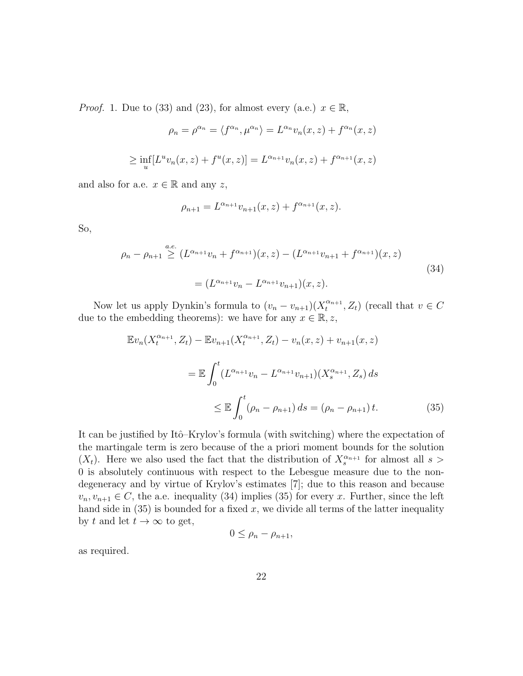*Proof.* 1. Due to (33) and (23), for almost every (a.e.)  $x \in \mathbb{R}$ ,

$$
\rho_n = \rho^{\alpha_n} = \langle f^{\alpha_n}, \mu^{\alpha_n} \rangle = L^{\alpha_n} v_n(x, z) + f^{\alpha_n}(x, z)
$$

$$
\geq \inf_{u} [L^u v_n(x, z) + f^u(x, z)] = L^{\alpha_{n+1}} v_n(x, z) + f^{\alpha_{n+1}}(x, z)
$$

and also for a.e.  $x \in \mathbb{R}$  and any z,

$$
\rho_{n+1} = L^{\alpha_{n+1}} v_{n+1}(x, z) + f^{\alpha_{n+1}}(x, z).
$$

So,

$$
\rho_n - \rho_{n+1} \ge (L^{\alpha_{n+1}}v_n + f^{\alpha_{n+1}})(x, z) - (L^{\alpha_{n+1}}v_{n+1} + f^{\alpha_{n+1}})(x, z)
$$
  
=  $(L^{\alpha_{n+1}}v_n - L^{\alpha_{n+1}}v_{n+1})(x, z).$  (34)

Now let us apply Dynkin's formula to  $(v_n - v_{n+1})(X_t^{\alpha_{n+1}})$  $\binom{\alpha_{n+1}}{t}, Z_t$  (recall that  $v \in C$ due to the embedding theorems): we have for any  $x \in \mathbb{R}, z$ ,

$$
\mathbb{E}v_n(X_t^{\alpha_{n+1}}, Z_t) - \mathbb{E}v_{n+1}(X_t^{\alpha_{n+1}}, Z_t) - v_n(x, z) + v_{n+1}(x, z)
$$
  

$$
= \mathbb{E} \int_0^t (L^{\alpha_{n+1}}v_n - L^{\alpha_{n+1}}v_{n+1})(X_s^{\alpha_{n+1}}, Z_s) ds
$$
  

$$
\leq \mathbb{E} \int_0^t (\rho_n - \rho_{n+1}) ds = (\rho_n - \rho_{n+1}) t.
$$
 (35)

It can be justified by Itô–Krylov's formula (with switching) where the expectation of the martingale term is zero because of the a priori moment bounds for the solution  $(X_t)$ . Here we also used the fact that the distribution of  $X_s^{\alpha_{n+1}}$  for almost all  $s >$ 0 is absolutely continuous with respect to the Lebesgue measure due to the nondegeneracy and by virtue of Krylov's estimates [7]; due to this reason and because  $v_n, v_{n+1} \in C$ , the a.e. inequality (34) implies (35) for every x. Further, since the left hand side in  $(35)$  is bounded for a fixed x, we divide all terms of the latter inequality by t and let  $t \to \infty$  to get,

$$
0\leq \rho_n-\rho_{n+1},
$$

as required.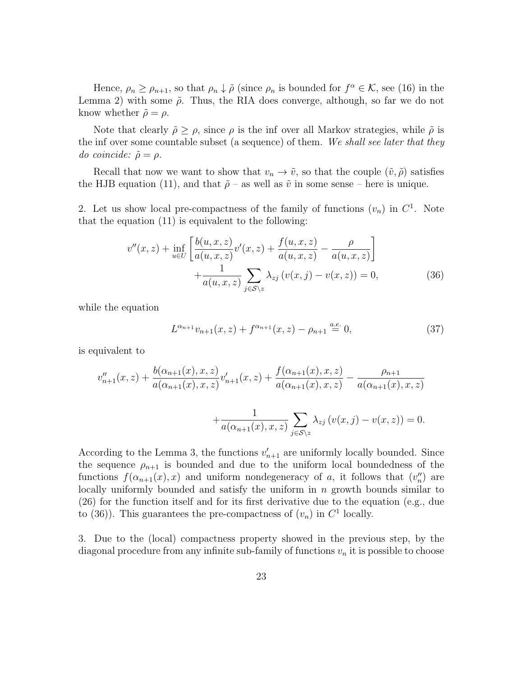Hence,  $\rho_n \ge \rho_{n+1}$ , so that  $\rho_n \downarrow \tilde{\rho}$  (since  $\rho_n$  is bounded for  $f^{\alpha} \in \mathcal{K}$ , see (16) in the Lemma 2) with some  $\tilde{\rho}$ . Thus, the RIA does converge, although, so far we do not know whether  $\tilde{\rho} = \rho$ .

Note that clearly  $\tilde{\rho} \geq \rho$ , since  $\rho$  is the inf over all Markov strategies, while  $\tilde{\rho}$  is the inf over some countable subset (a sequence) of them. We shall see later that they do coincide:  $\tilde{\rho} = \rho$ .

Recall that now we want to show that  $v_n \to \tilde{v}$ , so that the couple  $(\tilde{v}, \tilde{\rho})$  satisfies the HJB equation (11), and that  $\tilde{\rho}$  – as well as  $\tilde{v}$  in some sense – here is unique.

2. Let us show local pre-compactness of the family of functions  $(v_n)$  in  $C^1$ . Note that the equation (11) is equivalent to the following:

$$
v''(x, z) + \inf_{u \in U} \left[ \frac{b(u, x, z)}{a(u, x, z)} v'(x, z) + \frac{f(u, x, z)}{a(u, x, z)} - \frac{\rho}{a(u, x, z)} \right] + \frac{1}{a(u, x, z)} \sum_{j \in S \setminus z} \lambda_{zj} (v(x, j) - v(x, z)) = 0,
$$
 (36)

while the equation

$$
L^{\alpha_{n+1}}v_{n+1}(x,z) + f^{\alpha_{n+1}}(x,z) - \rho_{n+1} \stackrel{a.e.}{=} 0,
$$
\n(37)

is equivalent to

$$
v''_{n+1}(x, z) + \frac{b(\alpha_{n+1}(x), x, z)}{a(\alpha_{n+1}(x), x, z)} v'_{n+1}(x, z) + \frac{f(\alpha_{n+1}(x), x, z)}{a(\alpha_{n+1}(x), x, z)} - \frac{\rho_{n+1}}{a(\alpha_{n+1}(x), x, z)} + \frac{1}{a(\alpha_{n+1}(x), x, z)} \sum_{j \in S \setminus z} \lambda_{zj} (v(x, j) - v(x, z)) = 0.
$$

According to the Lemma 3, the functions  $v'_{n+1}$  are uniformly locally bounded. Since the sequence  $\rho_{n+1}$  is bounded and due to the uniform local boundedness of the functions  $f(\alpha_{n+1}(x),x)$  and uniform nondegeneracy of a, it follows that  $(v''_n)$  are locally uniformly bounded and satisfy the uniform in  $n$  growth bounds similar to (26) for the function itself and for its first derivative due to the equation (e.g., due to (36)). This guarantees the pre-compactness of  $(v_n)$  in  $C^1$  locally.

3. Due to the (local) compactness property showed in the previous step, by the diagonal procedure from any infinite sub-family of functions  $v_n$  it is possible to choose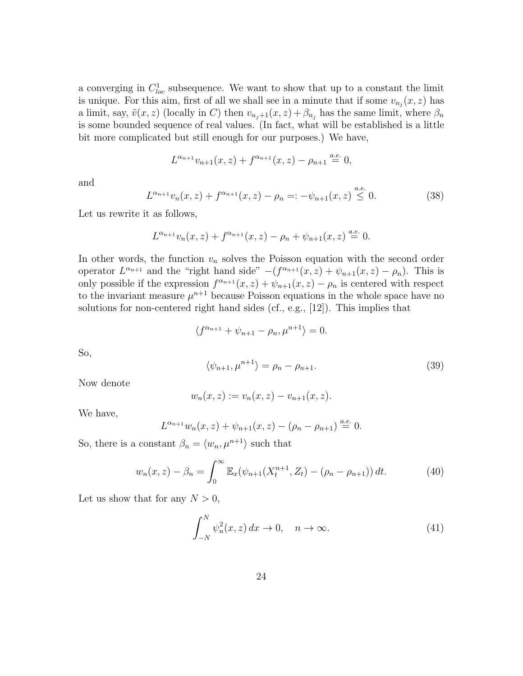a converging in  $C^1_{loc}$  subsequence. We want to show that up to a constant the limit is unique. For this aim, first of all we shall see in a minute that if some  $v_{n_j}(x, z)$  has a limit, say,  $\tilde{v}(x, z)$  (locally in C) then  $v_{n_j+1}(x, z) + \beta_{n_j}$  has the same limit, where  $\beta_n$ is some bounded sequence of real values. (In fact, what will be established is a little bit more complicated but still enough for our purposes.) We have,

$$
L^{\alpha_{n+1}}v_{n+1}(x,z) + f^{\alpha_{n+1}}(x,z) - \rho_{n+1} \stackrel{a.e.}{=} 0,
$$

and

$$
L^{\alpha_{n+1}}v_n(x,z) + f^{\alpha_{n+1}}(x,z) - \rho_n =: -\psi_{n+1}(x,z) \stackrel{a.e.}{\leq} 0.
$$
 (38)

Let us rewrite it as follows,

$$
L^{\alpha_{n+1}}v_n(x, z) + f^{\alpha_{n+1}}(x, z) - \rho_n + \psi_{n+1}(x, z) \stackrel{a.e.}{=} 0.
$$

In other words, the function  $v_n$  solves the Poisson equation with the second order operator  $L^{\alpha_{n+1}}$  and the "right hand side"  $-(f^{\alpha_{n+1}}(x, z) + \psi_{n+1}(x, z) - \rho_n)$ . This is only possible if the expression  $f^{\alpha_{n+1}}(x, z) + \psi_{n+1}(x, z) - \rho_n$  is centered with respect to the invariant measure  $\mu^{n+1}$  because Poisson equations in the whole space have no solutions for non-centered right hand sides (cf., e.g.,  $[12]$ ). This implies that

$$
\langle f^{\alpha_{n+1}} + \psi_{n+1} - \rho_n, \mu^{n+1} \rangle = 0.
$$

So,

$$
\langle \psi_{n+1}, \mu^{n+1} \rangle = \rho_n - \rho_{n+1}.
$$
\n(39)

Now denote

$$
w_n(x, z) := v_n(x, z) - v_{n+1}(x, z).
$$

We have,

$$
L^{\alpha_{n+1}}w_n(x,z)+\psi_{n+1}(x,z)-(\rho_n-\rho_{n+1})\stackrel{a.e.}{=} 0.
$$

So, there is a constant  $\beta_n = \langle w_n, \mu^{n+1} \rangle$  such that

$$
w_n(x, z) - \beta_n = \int_0^\infty \mathbb{E}_x(\psi_{n+1}(X_t^{n+1}, Z_t) - (\rho_n - \rho_{n+1})) dt.
$$
 (40)

Let us show that for any  $N > 0$ ,

$$
\int_{-N}^{N} \psi_n^2(x, z) dx \to 0, \quad n \to \infty.
$$
 (41)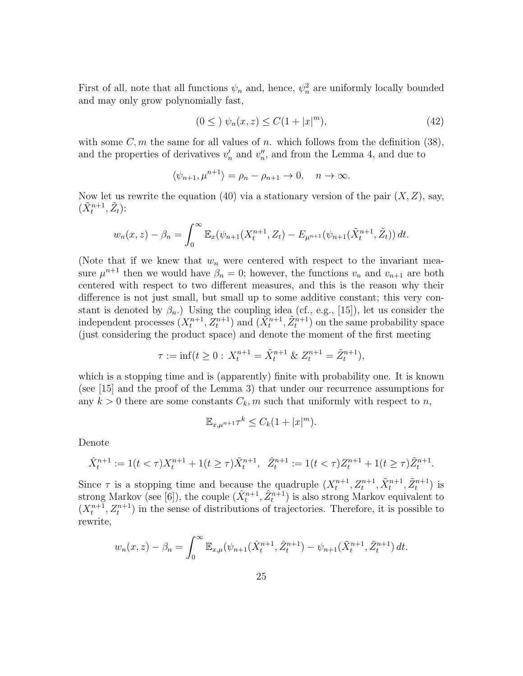First of all, note that all functions  $\psi_n$  and, hence,  $\psi_n^2$  are uniformly locally bounded and may only grow polynomially fast,

$$
(0 \leq) \psi_n(x, z) \leq C(1 + |x|^m), \tag{42}
$$

with some  $C, m$  the same for all values of n. which follows from the definition (38), and the properties of derivatives  $v'_n$  and  $v''_n$ , and from the Lemma 4, and due to

$$
\langle \psi_{n+1}, \mu^{n+1} \rangle = \rho_n - \rho_{n+1} \to 0, \quad n \to \infty.
$$

Now let us rewrite the equation (40) via a stationary version of the pair  $(X, Z)$ , say,  $(\tilde{X}_t^{n+1}, \tilde{Z}_t)$ :

$$
w_n(x, z) - \beta_n = \int_0^\infty \mathbb{E}_x(\psi_{n+1}(X_t^{n+1}, Z_t) - E_{\mu^{n+1}}(\psi_{n+1}(\tilde{X}_t^{n+1}, \tilde{Z}_t)) dt.
$$

(Note that if we knew that  $w_n$  were centered with respect to the invariant measure  $\mu^{n+1}$  then we would have  $\beta_n = 0$ ; however, the functions  $v_n$  and  $v_{n+1}$  are both centered with respect to two different measures, and this is the reason why their difference is not just small, but small up to some additive constant; this very constant is denoted by  $\beta_n$ .) Using the coupling idea (cf., e.g., [15]), let us consider the independent processes  $(X_t^{n+1}, Z_t^{n+1})$  and  $(\tilde{X}_t^{n+1}, \tilde{Z}_t^{n+1})$  on the same probability space (just considering the product space) and denote the moment of the first meeting

$$
\tau := \inf(t \ge 0: X_t^{n+1} = \tilde{X}_t^{n+1} \& Z_t^{n+1} = \tilde{Z}_t^{n+1}),
$$

which is a stopping time and is (apparently) finite with probability one. It is known (see [15] and the proof of the Lemma 3) that under our recurrence assumptions for any  $k > 0$  there are some constants  $C_k, m$  such that uniformly with respect to n,

$$
\mathbb{E}_{x,\mu^{n+1}}\tau^k \leq C_k(1+|x|^m).
$$

Denote

$$
\hat{X}_t^{n+1} := 1(t < \tau)X_t^{n+1} + 1(t \ge \tau)\tilde{X}_t^{n+1}, \quad \hat{Z}_t^{n+1} := 1(t < \tau)Z_t^{n+1} + 1(t \ge \tau)\tilde{Z}_t^{n+1}.
$$

Since  $\tau$  is a stopping time and because the quadruple  $(X_t^{n+1}, Z_t^{n+1}, \tilde{X}_t^{n+1}, \tilde{Z}_t^{n+1})$  is strong Markov (see [6]), the couple  $(\hat{X}^{n+1}_t, \hat{Z}^{n+1}_t)$  is also strong Markov equivalent to  $(X_t^{n+1}, Z_t^{n+1})$  in the sense of distributions of trajectories. Therefore, it is possible to rewrite,

$$
w_n(x, z) - \beta_n = \int_0^\infty \mathbb{E}_{x, \mu}(\psi_{n+1}(\hat{X}_t^{n+1}, \hat{Z}_t^{n+1}) - \psi_{n+1}(\tilde{X}_t^{n+1}, \tilde{Z}_t^{n+1}) dt.
$$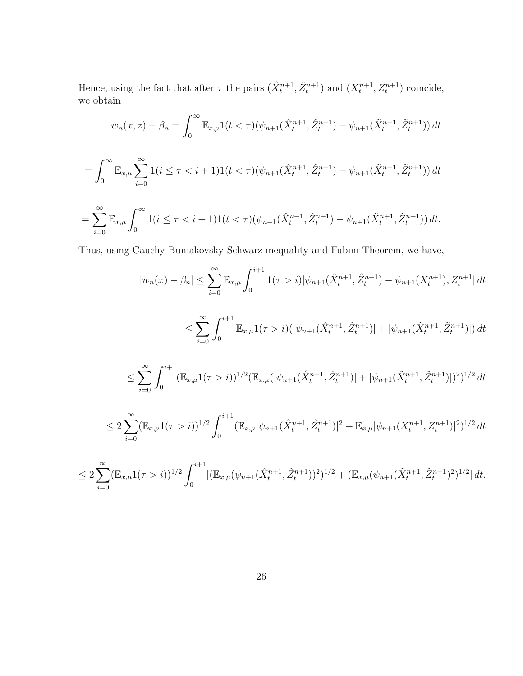Hence, using the fact that after  $\tau$  the pairs  $(\hat{X}^{n+1}_t, \hat{Z}^{n+1}_t)$  and  $(\tilde{X}^{n+1}_t, \tilde{Z}^{n+1}_t)$  coincide, we obtain

$$
w_n(x, z) - \beta_n = \int_0^\infty \mathbb{E}_{x, \mu} 1(t < \tau) (\psi_{n+1}(\hat{X}_t^{n+1}, \hat{Z}_t^{n+1}) - \psi_{n+1}(\tilde{X}_t^{n+1}, \tilde{Z}_t^{n+1})) dt
$$
  
= 
$$
\int_0^\infty \mathbb{E}_{x, \mu} \sum_{i=0}^\infty 1(i \le \tau < i+1) 1(t < \tau) (\psi_{n+1}(\hat{X}_t^{n+1}, \hat{Z}_t^{n+1}) - \psi_{n+1}(\tilde{X}_t^{n+1}, \tilde{Z}_t^{n+1})) dt
$$

$$
= \sum_{i=0}^{\infty} \mathbb{E}_{x,\mu} \int_0^{\infty} 1(i \le \tau < i+1) 1(t < \tau) (\psi_{n+1}(\hat{X}_t^{n+1}, \hat{Z}_t^{n+1}) - \psi_{n+1}(\tilde{X}_t^{n+1}, \tilde{Z}_t^{n+1})) dt.
$$

=

Thus, using Cauchy-Buniakovsky-Schwarz inequality and Fubini Theorem, we have,

$$
|w_n(x) - \beta_n| \le \sum_{i=0}^{\infty} \mathbb{E}_{x,\mu} \int_0^{i+1} 1(\tau > i) |\psi_{n+1}(\hat{X}_t^{n+1}, \hat{Z}_t^{n+1}) - \psi_{n+1}(\tilde{X}_t^{n+1}), \tilde{Z}_t^{n+1}| dt
$$
  

$$
\le \sum_{i=0}^{\infty} \int_0^{i+1} \mathbb{E}_{x,\mu} 1(\tau > i) (|\psi_{n+1}(\hat{X}_t^{n+1}, \hat{Z}_t^{n+1})| + |\psi_{n+1}(\tilde{X}_t^{n+1}, \tilde{Z}_t^{n+1})|) dt
$$
  

$$
\le \sum_{i=0}^{\infty} \int_0^{i+1} (\mathbb{E}_{x,\mu} 1(\tau > i))^{1/2} (\mathbb{E}_{x,\mu} (|\psi_{n+1}(\hat{X}_t^{n+1}, \hat{Z}_t^{n+1})| + |\psi_{n+1}(\tilde{X}_t^{n+1}, \tilde{Z}_t^{n+1})|)^2)^{1/2} dt
$$
  

$$
\le 2 \sum_{i=0}^{\infty} (\mathbb{E}_{x,\mu} 1(\tau > i))^{1/2} \int_0^{i+1} (\mathbb{E}_{x,\mu} |\psi_{n+1}(\hat{X}_t^{n+1}, \hat{Z}_t^{n+1})|^2 + \mathbb{E}_{x,\mu} |\psi_{n+1}(\tilde{X}_t^{n+1}, \tilde{Z}_t^{n+1})|^2)^{1/2} dt
$$

$$
\leq 2\sum_{i=0}^{\infty}(\mathbb{E}_{x,\mu}1(\tau>i))^{1/2}\int_{0}^{i+1}[(\mathbb{E}_{x,\mu}(\psi_{n+1}(\hat{X}_{t}^{n+1},\hat{Z}_{t}^{n+1}))^{2})^{1/2}+(\mathbb{E}_{x,\mu}(\psi_{n+1}(\tilde{X}_{t}^{n+1},\tilde{Z}_{t}^{n+1})^{2})^{1/2}]\,dt.
$$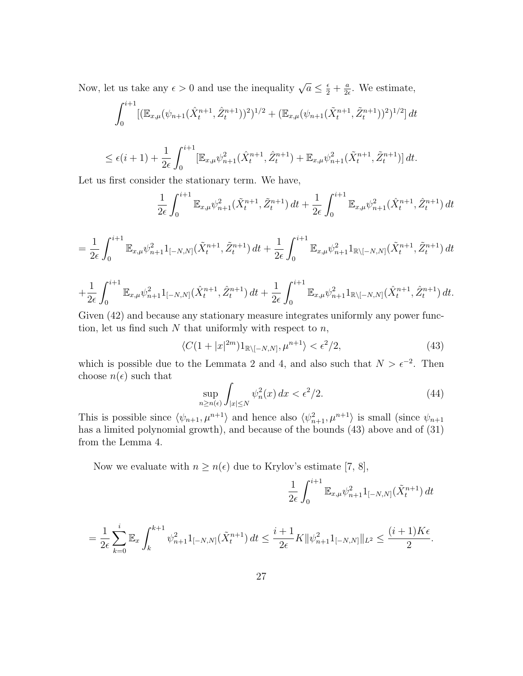Now, let us take any  $\epsilon > 0$  and use the inequality  $\sqrt{a} \leq \frac{\epsilon}{2} + \frac{a}{2\epsilon}$  $\frac{a}{2\epsilon}$ . We estimate,

$$
\int_0^{i+1} [(\mathbb{E}_{x,\mu}(\psi_{n+1}(\hat{X}_t^{n+1},\hat{Z}_t^{n+1}))^2)^{1/2} + (\mathbb{E}_{x,\mu}(\psi_{n+1}(\tilde{X}_t^{n+1},\tilde{Z}_t^{n+1}))^2)^{1/2}] dt
$$

$$
\leq \epsilon(i+1) + \frac{1}{2\epsilon} \int_0^{i+1} [\mathbb{E}_{x,\mu} \psi_{n+1}^2(\hat{X}_t^{n+1}, \hat{Z}_t^{n+1}) + \mathbb{E}_{x,\mu} \psi_{n+1}^2(\tilde{X}_t^{n+1}, \tilde{Z}_t^{n+1})] dt.
$$

Let us first consider the stationary term. We have,

$$
\frac{1}{2\epsilon} \int_0^{i+1} \mathbb{E}_{x,\mu} \psi_{n+1}^2(\tilde{X}_t^{n+1}, \tilde{Z}_t^{n+1}) dt + \frac{1}{2\epsilon} \int_0^{i+1} \mathbb{E}_{x,\mu} \psi_{n+1}^2(\hat{X}_t^{n+1}, \hat{Z}_t^{n+1}) dt
$$

$$
= \frac{1}{2\epsilon} \int_0^{i+1} \mathbb{E}_{x,\mu} \psi_{n+1}^2 \mathbb{1}_{[-N,N]}(\tilde{X}_t^{n+1}, \tilde{Z}_t^{n+1}) dt + \frac{1}{2\epsilon} \int_0^{i+1} \mathbb{E}_{x,\mu} \psi_{n+1}^2 \mathbb{1}_{\mathbb{R}\setminus[-N,N]}(\tilde{X}_t^{n+1}, \tilde{Z}_t^{n+1}) dt
$$

$$
+\frac{1}{2\epsilon}\int_0^{i+1}\mathbb{E}_{x,\mu}\psi_{n+1}^2\mathbf{1}_{[-N,N]}(\hat{X}_t^{n+1},\hat{Z}_t^{n+1}) dt + \frac{1}{2\epsilon}\int_0^{i+1}\mathbb{E}_{x,\mu}\psi_{n+1}^2\mathbf{1}_{\mathbb{R}\backslash[-N,N]}(\hat{X}_t^{n+1},\hat{Z}_t^{n+1}) dt.
$$

Given (42) and because any stationary measure integrates uniformly any power function, let us find such  $N$  that uniformly with respect to  $n$ ,

$$
\langle C(1+|x|^{2m})1_{\mathbb{R}\setminus[-N,N]}, \mu^{n+1}\rangle < \epsilon^2/2,\tag{43}
$$

which is possible due to the Lemmata 2 and 4, and also such that  $N > \epsilon^{-2}$ . Then choose  $n(\epsilon)$  such that

$$
\sup_{n\geq n(\epsilon)} \int_{|x|\leq N} \psi_n^2(x) \, dx < \epsilon^2/2. \tag{44}
$$

This is possible since  $\langle \psi_{n+1}, \mu^{n+1} \rangle$  and hence also  $\langle \psi_{n+1}^2, \mu^{n+1} \rangle$  is small (since  $\psi_{n+1}$ has a limited polynomial growth), and because of the bounds (43) above and of (31) from the Lemma 4.

Now we evaluate with  $n \geq n(\epsilon)$  due to Krylov's estimate [7, 8],

$$
\frac{1}{2\epsilon} \int_0^{i+1} \mathbb{E}_{x,\mu} \psi_{n+1}^2 \mathbb{1}_{[-N,N]}(\tilde{X}_t^{n+1}) dt
$$

$$
= \frac{1}{2\epsilon} \sum_{k=0}^i \mathbb{E}_x \int_k^{k+1} \psi_{n+1}^2 \mathbb{1}_{[-N,N]}(\tilde{X}_t^{n+1}) dt \le \frac{i+1}{2\epsilon} K \|\psi_{n+1}^2 \mathbb{1}_{[-N,N]} \|_{L^2} \le \frac{(i+1)K\epsilon}{2}.
$$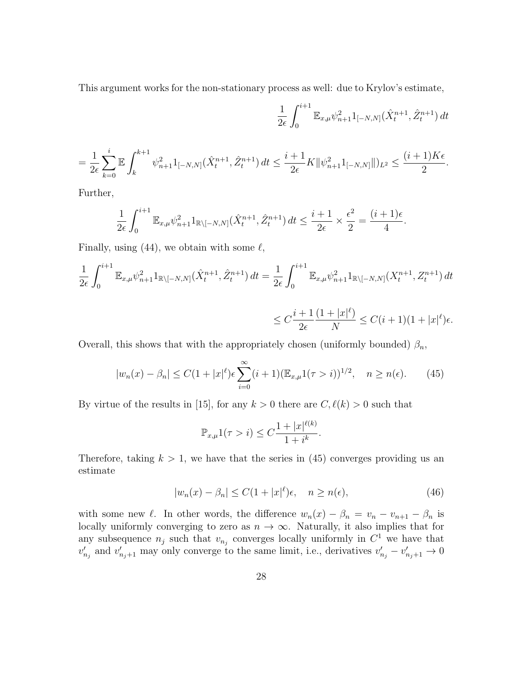This argument works for the non-stationary process as well: due to Krylov's estimate,

$$
\frac{1}{2\epsilon} \int_0^{i+1} \mathbb{E}_{x,\mu} \psi_{n+1}^2 \mathbf{1}_{[-N,N]}(\hat{X}_t^{n+1}, \hat{Z}_t^{n+1}) dt
$$
  

$$
\frac{1}{2\epsilon} \sum_{k=0}^i \mathbb{E} \int_k^{k+1} \psi_{n+1}^2 \mathbf{1}_{[-N,N]}(\hat{X}_t^{n+1}, \hat{Z}_t^{n+1}) dt \le \frac{i+1}{2\epsilon} K \|\psi_{n+1}^2 \mathbf{1}_{[-N,N]} \|\)_{L^2} \le \frac{(i+1)K\epsilon}{2}.
$$

Further,

=

$$
\frac{1}{2\epsilon} \int_0^{i+1} \mathbb{E}_{x,\mu} \psi_{n+1}^2 1_{\mathbb{R}\setminus[-N,N]}(\hat{X}_t^{n+1}, \hat{Z}_t^{n+1}) dt \le \frac{i+1}{2\epsilon} \times \frac{\epsilon^2}{2} = \frac{(i+1)\epsilon}{4}.
$$

Finally, using (44), we obtain with some  $\ell$ ,

$$
\frac{1}{2\epsilon} \int_0^{i+1} \mathbb{E}_{x,\mu} \psi_{n+1}^2 \mathbb{1}_{\mathbb{R}\setminus[-N,N]}(\hat{X}_t^{n+1}, \hat{Z}_t^{n+1}) dt = \frac{1}{2\epsilon} \int_0^{i+1} \mathbb{E}_{x,\mu} \psi_{n+1}^2 \mathbb{1}_{\mathbb{R}\setminus[-N,N]}(X_t^{n+1}, Z_t^{n+1}) dt
$$

$$
\leq C \frac{i+1}{2\epsilon} \frac{(1+|x|^{\ell})}{N} \leq C(i+1)(1+|x|^{\ell})\epsilon.
$$

Overall, this shows that with the appropriately chosen (uniformly bounded)  $\beta_n$ ,

$$
|w_n(x) - \beta_n| \le C(1 + |x|^\ell) \epsilon \sum_{i=0}^{\infty} (i+1) (\mathbb{E}_{x,\mu} 1(\tau > i))^{1/2}, \quad n \ge n(\epsilon).
$$
 (45)

By virtue of the results in [15], for any  $k > 0$  there are  $C, \ell(k) > 0$  such that

$$
\mathbb{P}_{x,\mu}1(\tau > i) \le C \frac{1 + |x|^{\ell(k)}}{1 + i^k}.
$$

Therefore, taking  $k > 1$ , we have that the series in (45) converges providing us an estimate

$$
|w_n(x) - \beta_n| \le C(1 + |x|^\ell)\epsilon, \quad n \ge n(\epsilon), \tag{46}
$$

with some new  $\ell$ . In other words, the difference  $w_n(x) - \beta_n = v_n - v_{n+1} - \beta_n$  is locally uniformly converging to zero as  $n \to \infty$ . Naturally, it also implies that for any subsequence  $n_j$  such that  $v_{n_j}$  converges locally uniformly in  $C^1$  we have that  $v'_{n_j}$  and  $v'_{n_j+1}$  may only converge to the same limit, i.e., derivatives  $v'_{n_j} - v'_{n_j+1} \to 0$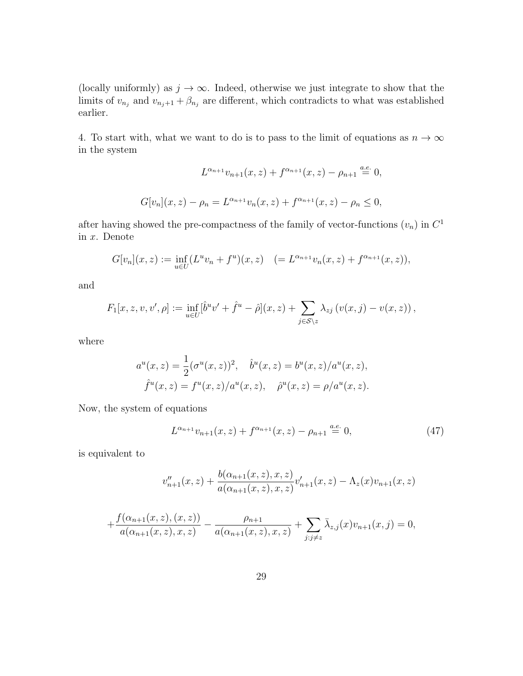(locally uniformly) as  $j \to \infty$ . Indeed, otherwise we just integrate to show that the limits of  $v_{n_j}$  and  $v_{n_j+1} + \beta_{n_j}$  are different, which contradicts to what was established earlier.

4. To start with, what we want to do is to pass to the limit of equations as  $n \to \infty$ in the system

$$
L^{\alpha_{n+1}}v_{n+1}(x, z) + f^{\alpha_{n+1}}(x, z) - \rho_{n+1} \stackrel{a.e.}{=} 0,
$$
  

$$
G[v_n](x, z) - \rho_n = L^{\alpha_{n+1}}v_n(x, z) + f^{\alpha_{n+1}}(x, z) - \rho_n \le 0,
$$

after having showed the pre-compactness of the family of vector-functions  $(v_n)$  in  $C^1$ in x. Denote

$$
G[v_n](x, z) := \inf_{u \in U} (L^u v_n + f^u)(x, z) \quad (= L^{\alpha_{n+1}} v_n(x, z) + f^{\alpha_{n+1}}(x, z)),
$$

and

$$
F_1[x, z, v, v', \rho] := \inf_{u \in U} \left[ \hat{b}^u v' + \hat{f}^u - \hat{\rho} \right](x, z) + \sum_{j \in S \setminus z} \lambda_{zj} \left( v(x, j) - v(x, z) \right),
$$

where

$$
a^{u}(x, z) = \frac{1}{2} (\sigma^{u}(x, z))^{2}, \quad \hat{b}^{u}(x, z) = b^{u}(x, z) / a^{u}(x, z),
$$
  

$$
\hat{f}^{u}(x, z) = f^{u}(x, z) / a^{u}(x, z), \quad \hat{\rho}^{u}(x, z) = \rho / a^{u}(x, z).
$$

Now, the system of equations

$$
L^{\alpha_{n+1}}v_{n+1}(x,z) + f^{\alpha_{n+1}}(x,z) - \rho_{n+1} \stackrel{a.e.}{=} 0,
$$
\n(47)

is equivalent to

$$
v''_{n+1}(x, z) + \frac{b(\alpha_{n+1}(x, z), x, z)}{a(\alpha_{n+1}(x, z), x, z)} v'_{n+1}(x, z) - \Lambda_z(x) v_{n+1}(x, z)
$$

$$
+\frac{f(\alpha_{n+1}(x,z),(x,z))}{a(\alpha_{n+1}(x,z),x,z)}-\frac{\rho_{n+1}}{a(\alpha_{n+1}(x,z),x,z)}+\sum_{j:j\neq z}\bar{\lambda}_{z,j}(x)v_{n+1}(x,j)=0,
$$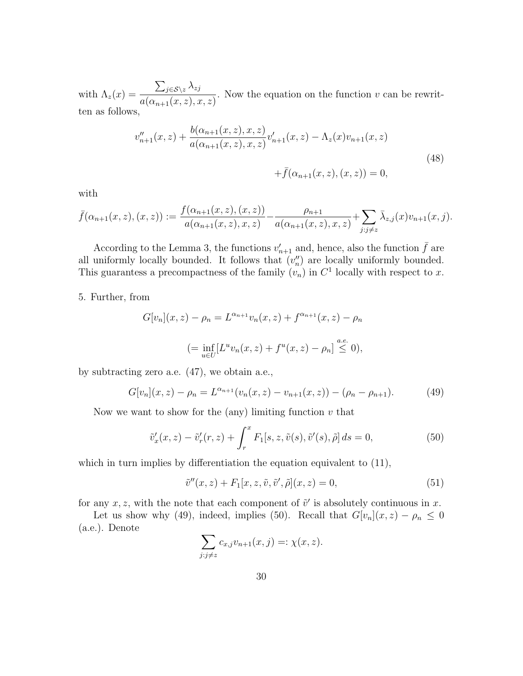with  $\Lambda_z(x) =$  $\sum_{j\in\mathcal{S}\backslash z}\lambda_{zj}$  $a(\alpha_{n+1}(x,z),x,z)$ . Now the equation on the function  $v$  can be rewritten as follows,

$$
v''_{n+1}(x,z) + \frac{b(\alpha_{n+1}(x,z),x,z)}{a(\alpha_{n+1}(x,z),x,z)} v'_{n+1}(x,z) - \Lambda_z(x) v_{n+1}(x,z)
$$
  
 
$$
+ \bar{f}(\alpha_{n+1}(x,z), (x,z)) = 0,
$$
 (48)

with

$$
\bar{f}(\alpha_{n+1}(x,z),(x,z)) := \frac{f(\alpha_{n+1}(x,z),(x,z))}{a(\alpha_{n+1}(x,z),x,z)} - \frac{\rho_{n+1}}{a(\alpha_{n+1}(x,z),x,z)} + \sum_{j:j\neq z} \bar{\lambda}_{z,j}(x)v_{n+1}(x,j).
$$

According to the Lemma 3, the functions  $v'_{n+1}$  and, hence, also the function  $\bar{f}$  are all uniformly locally bounded. It follows that  $(v''_n)$  are locally uniformly bounded. This guarantess a precompactness of the family  $(v_n)$  in  $C<sup>1</sup>$  locally with respect to x.

5. Further, from

$$
G[v_n](x, z) - \rho_n = L^{\alpha_{n+1}} v_n(x, z) + f^{\alpha_{n+1}}(x, z) - \rho_n
$$
  

$$
(= \inf_{u \in U} [L^u v_n(x, z) + f^u(x, z) - \rho_n] \stackrel{a.e.}{\leq} 0),
$$

by subtracting zero a.e. (47), we obtain a.e.,

$$
G[v_n](x, z) - \rho_n = L^{\alpha_{n+1}}(v_n(x, z) - v_{n+1}(x, z)) - (\rho_n - \rho_{n+1}).
$$
\n(49)

Now we want to show for the (any) limiting function  $v$  that

$$
\tilde{v}'_x(x, z) - \tilde{v}'_r(r, z) + \int_r^x F_1[s, z, \tilde{v}(s), \tilde{v}'(s), \tilde{\rho}] ds = 0,
$$
\n(50)

which in turn implies by differentiation the equation equivalent to  $(11)$ ,

$$
\tilde{v}''(x, z) + F_1[x, z, \tilde{v}, \tilde{v}', \tilde{\rho}](x, z) = 0,
$$
\n(51)

for any  $x, z$ , with the note that each component of  $\tilde{v}'$  is absolutely continuous in x.

Let us show why (49), indeed, implies (50). Recall that  $G[v_n](x, z) - \rho_n \leq 0$ (a.e.). Denote

$$
\sum_{j:j\neq z} c_{x,j} v_{n+1}(x,j) =: \chi(x,z).
$$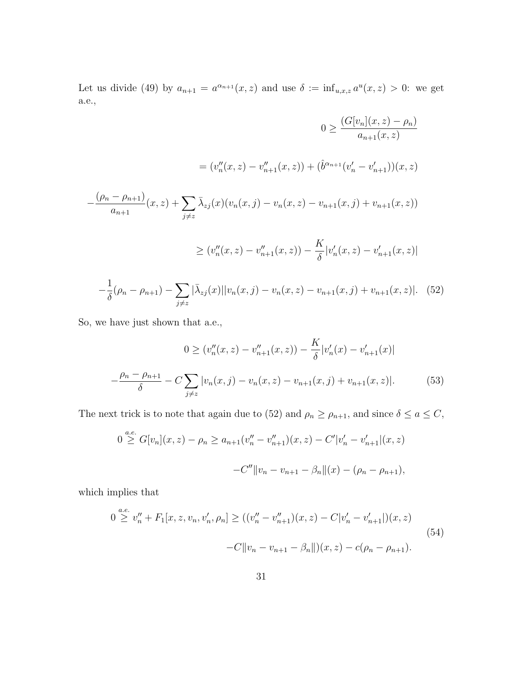Let us divide (49) by  $a_{n+1} = a^{\alpha_{n+1}}(x, z)$  and use  $\delta := \inf_{u, x, z} a^u(x, z) > 0$ : we get a.e.,

$$
0 \geq \frac{(G[v_n](x, z) - \rho_n)}{a_{n+1}(x, z)}
$$
  
\n
$$
= (v''_n(x, z) - v''_{n+1}(x, z)) + (\hat{b}^{\alpha_{n+1}}(v'_n - v'_{n+1}))(x, z)
$$
  
\n
$$
-\frac{(\rho_n - \rho_{n+1})}{a_{n+1}}(x, z) + \sum_{j \neq z} \bar{\lambda}_{zj}(x)(v_n(x, j) - v_n(x, z) - v_{n+1}(x, j) + v_{n+1}(x, z))
$$
  
\n
$$
\geq (v''_n(x, z) - v''_{n+1}(x, z)) - \frac{K}{\delta}|v'_n(x, z) - v'_{n+1}(x, z)|
$$
  
\n
$$
-\frac{1}{\delta}(\rho_n - \rho_{n+1}) - \sum_{j \neq z} |\bar{\lambda}_{zj}(x)||v_n(x, j) - v_n(x, z) - v_{n+1}(x, j) + v_{n+1}(x, z)|.
$$
 (52)

So, we have just shown that a.e.,

$$
0 \ge (v''_n(x, z) - v''_{n+1}(x, z)) - \frac{K}{\delta} |v'_n(x) - v'_{n+1}(x)|
$$

$$
-\frac{\rho_n - \rho_{n+1}}{\delta} - C \sum_{j \ne z} |v_n(x, j) - v_n(x, z) - v_{n+1}(x, j) + v_{n+1}(x, z)|.
$$
(53)

The next trick is to note that again due to (52) and  $\rho_n \ge \rho_{n+1}$ , and since  $\delta \le a \le C$ ,

$$
0 \stackrel{a.e.}{\geq} G[v_n](x, z) - \rho_n \geq a_{n+1}(v_n'' - v_{n+1}'')(x, z) - C'|v_n' - v_{n+1}'|(x, z) - C''||v_n - v_{n+1} - \beta_n||(x) - (\rho_n - \rho_{n+1}),
$$

which implies that

$$
0 \stackrel{a.e.}{\geq} v_n'' + F_1[x, z, v_n, v_n', \rho_n] \geq ((v_n'' - v_{n+1}'')(x, z) - C|v_n' - v_{n+1}'|)(x, z)
$$
  

$$
-C||v_n - v_{n+1} - \beta_n||)(x, z) - c(\rho_n - \rho_{n+1}).
$$
  
(54)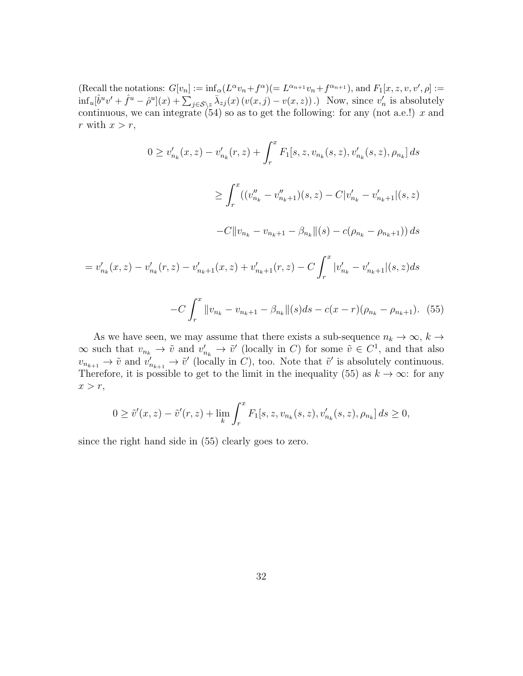(Recall the notations:  $G[v_n] := \inf_{\alpha} (L^{\alpha}v_n + f^{\alpha}) (= L^{\alpha_{n+1}}v_n + f^{\alpha_{n+1}})$ , and  $F_1[x, z, v, v', \rho] :=$  $\inf_u[\hat{b}^uv' + \hat{f}^u - \hat{\rho}^u](x) + \sum_{j \in \mathcal{S} \setminus z} \bar{\lambda}_{zj}(x) (v(x, j) - v(x, z))$ .) Now, since  $v'_n$  is absolutely continuous, we can integrate  $(54)$  so as to get the following: for any (not a.e.!) x and r with  $x > r$ ,

$$
0 \ge v'_{n_k}(x, z) - v'_{n_k}(r, z) + \int_r^x F_1[s, z, v_{n_k}(s, z), v'_{n_k}(s, z), \rho_{n_k}] ds
$$
  
\n
$$
\ge \int_r^x ((v''_{n_k} - v''_{n_k+1})(s, z) - C|v'_{n_k} - v'_{n_k+1}|(s, z)
$$
  
\n
$$
-C||v_{n_k} - v_{n_k+1} - \beta_{n_k}||(s) - c(\rho_{n_k} - \rho_{n_k+1})) ds
$$
  
\n
$$
v'_{n_k}(x, z) - v'_{n_k}(r, z) - v'_{n_k+1}(x, z) + v'_{n_k+1}(r, z) - C \int_r^x |v'_{n_k} - v'_{n_k+1}|(s, z) ds
$$
  
\n
$$
-C \int_r^x ||v_{n_k} - v_{n_k+1} - \beta_{n_k}||(s) ds - c(x - r)(\rho_{n_k} - \rho_{n_k+1}).
$$
 (55)

As we have seen, we may assume that there exists a sub-sequence  $n_k \to \infty$ ,  $k \to$  $\infty$  such that  $v_{n_k} \to \tilde{v}$  and  $v'_{n_k} \to \tilde{v}'$  (locally in C) for some  $\tilde{v} \in C^1$ , and that also  $v_{n_{k+1}} \to \tilde{v}$  and  $v'_{n_{k+1}} \to \tilde{v}'$  (locally in C), too. Note that  $\tilde{v}'$  is absolutely continuous. Therefore, it is possible to get to the limit in the inequality (55) as  $k \to \infty$ : for any  $x > r$ ,

$$
0 \ge \tilde{v}'(x, z) - \tilde{v}'(r, z) + \lim_{k} \int_{r}^{x} F_1[s, z, v_{n_k}(s, z), v'_{n_k}(s, z), \rho_{n_k}] ds \ge 0,
$$

since the right hand side in (55) clearly goes to zero.

 $=$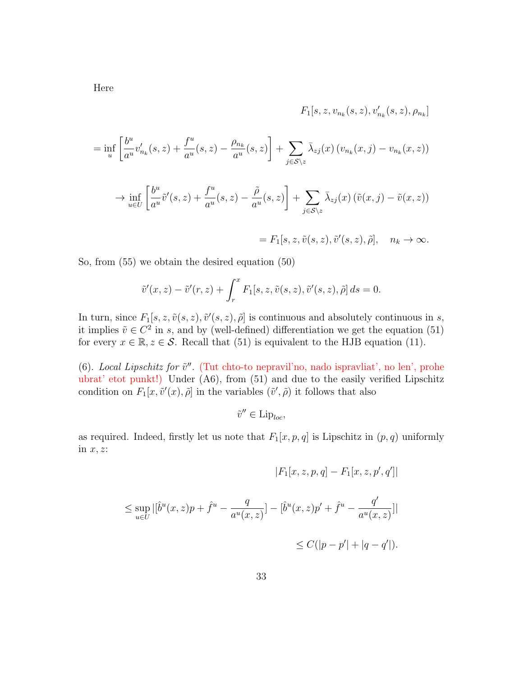$$
F_1[s, z, v_{n_k}(s, z), v'_{n_k}(s, z), \rho_{n_k}]
$$

$$
= \inf_{u} \left[ \frac{b^u}{a^u} v'_{n_k}(s, z) + \frac{f^u}{a^u}(s, z) - \frac{\rho_{n_k}}{a^u}(s, z) \right] + \sum_{j \in S \backslash z} \bar{\lambda}_{zj}(x) \left( v_{n_k}(x, j) - v_{n_k}(x, z) \right)
$$

$$
\to \inf_{u \in U} \left[ \frac{b^u}{a^u} \tilde{v}'(s, z) + \frac{f^u}{a^u}(s, z) - \frac{\tilde{\rho}}{a^u}(s, z) \right] + \sum_{j \in S \setminus z} \bar{\lambda}_{zj}(x) \left( \tilde{v}(x, j) - \tilde{v}(x, z) \right)
$$

$$
= F_1[s, z, \tilde{v}(s, z), \tilde{v}'(s, z), \tilde{\rho}], \quad n_k \to \infty.
$$

So, from (55) we obtain the desired equation (50)

$$
\tilde{v}'(x, z) - \tilde{v}'(r, z) + \int_r^x F_1[s, z, \tilde{v}(s, z), \tilde{v}'(s, z), \tilde{\rho}] ds = 0.
$$

In turn, since  $F_1[s, z, \tilde{v}(s, z), \tilde{v}'(s, z), \tilde{\rho}]$  is continuous and absolutely continuous in s, it implies  $\tilde{v} \in C^2$  in s, and by (well-defined) differentiation we get the equation (51) for every  $x \in \mathbb{R}, z \in \mathcal{S}$ . Recall that (51) is equivalent to the HJB equation (11).

(6). Local Lipschitz for  $\tilde{v}''$ . (Tut chto-to nepravil'no, nado ispravliat', no len', prohe ubrat' etot punkt!) Under (A6), from (51) and due to the easily verified Lipschitz condition on  $F_1[x, \tilde{v}'(x), \tilde{\rho}]$  in the variables  $(\tilde{v}', \tilde{\rho})$  it follows that also

$$
\tilde{v}'' \in \mathrm{Lip}_{loc},
$$

as required. Indeed, firstly let us note that  $F_1[x, p, q]$  is Lipschitz in  $(p, q)$  uniformly in  $x, z$ :

$$
|F_1[x, z, p, q] - F_1[x, z, p', q']|
$$
  
\n
$$
\leq \sup_{u \in U} |[\hat{b}^u(x, z)p + \hat{f}^u - \frac{q}{a^u(x, z)}] - [\hat{b}^u(x, z)p' + \hat{f}^u - \frac{q'}{a^u(x, z)}]|
$$
  
\n
$$
\leq C(|p - p'| + |q - q'|).
$$

Here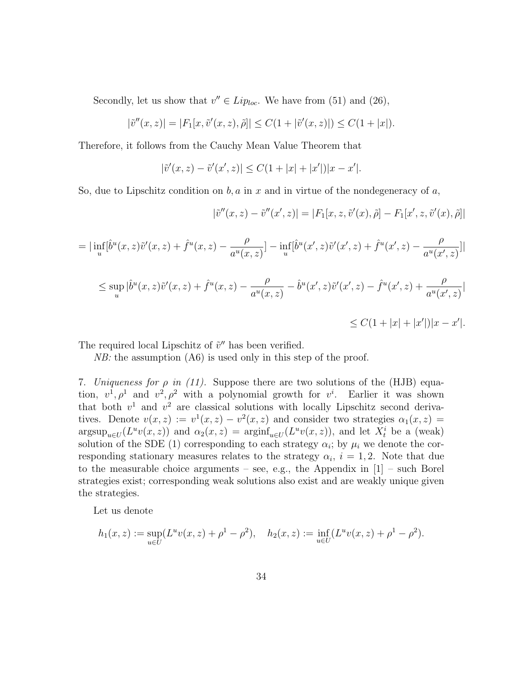Secondly, let us show that  $v'' \in Lip_{loc}$ . We have from (51) and (26),

$$
|\tilde{v}''(x,z)| = |F_1[x,\tilde{v}'(x,z),\tilde{\rho}]| \le C(1+|\tilde{v}'(x,z)|) \le C(1+|x|).
$$

Therefore, it follows from the Cauchy Mean Value Theorem that

$$
|\tilde{v}'(x,z) - \tilde{v}'(x',z)| \leq C(1+|x|+|x'|)|x-x'|.
$$

So, due to Lipschitz condition on  $b, a$  in x and in virtue of the nondegeneracy of a,

$$
|\tilde{v}''(x,z) - \tilde{v}''(x',z)| = |F_1[x,z,\tilde{v}'(x),\tilde{\rho}] - F_1[x',z,\tilde{v}'(x),\tilde{\rho}]|
$$

$$
= |\inf_{u} \left[\hat{b}^{u}(x,z)\tilde{v}'(x,z) + \hat{f}^{u}(x,z) - \frac{\rho}{a^{u}(x,z)}\right] - \inf_{u} \left[\hat{b}^{u}(x',z)\tilde{v}'(x',z) + \hat{f}^{u}(x',z) - \frac{\rho}{a^{u}(x',z)}\right] |
$$

$$
\leq \sup_{u} |\hat{b}^{u}(x,z)\tilde{v}'(x,z) + \hat{f}^{u}(x,z) - \frac{\rho}{a^{u}(x,z)} - \hat{b}^{u}(x',z)\tilde{v}'(x',z) - \hat{f}^{u}(x',z) + \frac{\rho}{a^{u}(x',z)}|
$$

$$
\leq C(1+|x|+|x'|)|x-x'|.
$$

The required local Lipschitz of  $\tilde{v}''$  has been verified.

NB: the assumption  $(A6)$  is used only in this step of the proof.

7. Uniqueness for  $\rho$  in (11). Suppose there are two solutions of the (HJB) equation,  $v^1, \rho^1$  and  $v^2, \rho^2$  with a polynomial growth for  $v^i$ . Earlier it was shown that both  $v^1$  and  $v^2$  are classical solutions with locally Lipschitz second derivatives. Denote  $v(x, z) := v^{1}(x, z) - v^{2}(x, z)$  and consider two strategies  $\alpha_{1}(x, z) =$  $\arg \sup_{u \in U} (L^u v(x, z))$  and  $\alpha_2(x, z) = \arg \inf_{u \in U} (L^u v(x, z))$ , and let  $X_t^i$  be a (weak) solution of the SDE (1) corresponding to each strategy  $\alpha_i$ ; by  $\mu_i$  we denote the corresponding stationary measures relates to the strategy  $\alpha_i$ ,  $i = 1, 2$ . Note that due to the measurable choice arguments – see, e.g., the Appendix in [1] – such Borel strategies exist; corresponding weak solutions also exist and are weakly unique given the strategies.

Let us denote

$$
h_1(x, z) := \sup_{u \in U} (L^u v(x, z) + \rho^1 - \rho^2), \quad h_2(x, z) := \inf_{u \in U} (L^u v(x, z) + \rho^1 - \rho^2).
$$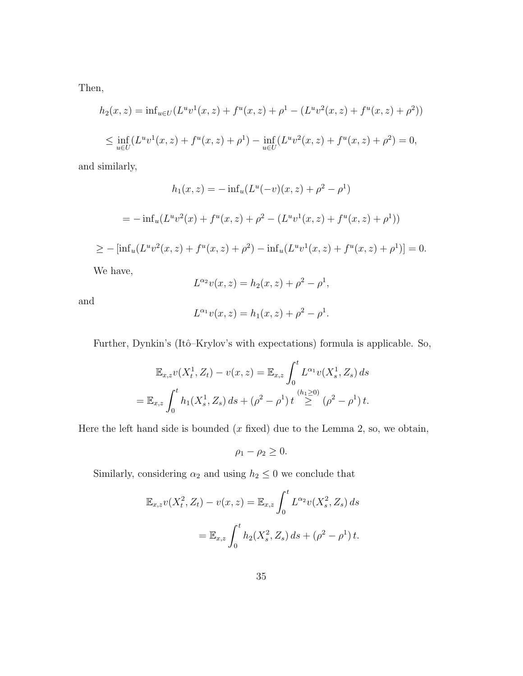Then,

$$
h_2(x, z) = \inf_{u \in U} (L^u v^1(x, z) + f^u(x, z) + \rho^1 - (L^u v^2(x, z) + f^u(x, z) + \rho^2))
$$

$$
\leq \inf_{u \in U} (L^u v^1(x, z) + f^u(x, z) + \rho^1) - \inf_{u \in U} (L^u v^2(x, z) + f^u(x, z) + \rho^2) = 0,
$$

and similarly,

$$
h_1(x, z) = -\inf_u (L^u(-v)(x, z) + \rho^2 - \rho^1)
$$
  
=  $-\inf_u (L^u v^2(x) + f^u(x, z) + \rho^2 - (L^u v^1(x, z) + f^u(x, z) + \rho^1))$   
 $\ge -[\inf_u (L^u v^2(x, z) + f^u(x, z) + \rho^2) - \inf_u (L^u v^1(x, z) + f^u(x, z) + \rho^1)] = 0.$ 

We have,

$$
L^{\alpha_2}v(x, z) = h_2(x, z) + \rho^2 - \rho^1,
$$

and

$$
L^{\alpha_1}v(x, z) = h_1(x, z) + \rho^2 - \rho^1.
$$

Further, Dynkin's (Itô–Krylov's with expectations) formula is applicable. So,

$$
\mathbb{E}_{x,z}v(X_t^1, Z_t) - v(x, z) = \mathbb{E}_{x,z} \int_0^t L^{\alpha_1}v(X_s^1, Z_s) ds
$$
  
=  $\mathbb{E}_{x,z} \int_0^t h_1(X_s^1, Z_s) ds + (\rho^2 - \rho^1) t \sum_{r=0}^{(h_1 \ge 0)} (\rho^2 - \rho^1) t.$ 

Here the left hand side is bounded  $(x \text{ fixed})$  due to the Lemma 2, so, we obtain,

$$
\rho_1 - \rho_2 \geq 0.
$$

Similarly, considering  $\alpha_2$  and using  $h_2 \leq 0$  we conclude that

$$
\mathbb{E}_{x,z}v(X_t^2, Z_t) - v(x, z) = \mathbb{E}_{x,z} \int_0^t L^{\alpha_2}v(X_s^2, Z_s) ds
$$
  
=  $\mathbb{E}_{x,z} \int_0^t h_2(X_s^2, Z_s) ds + (\rho^2 - \rho^1) t.$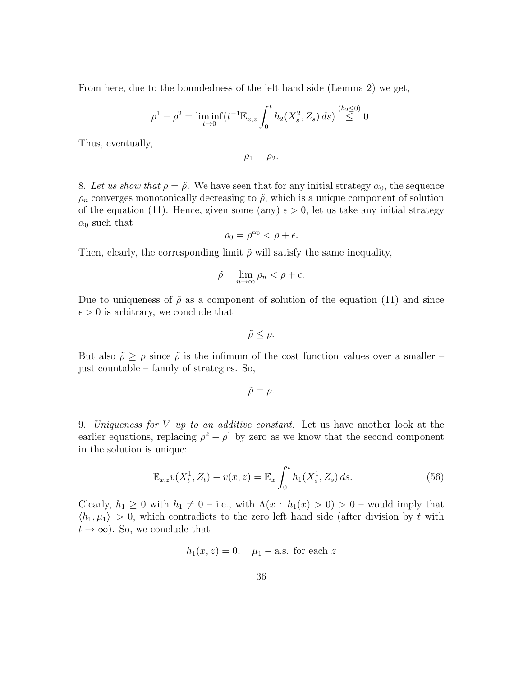From here, due to the boundedness of the left hand side (Lemma 2) we get,

$$
\rho^1 - \rho^2 = \liminf_{t \to 0} \left( t^{-1} \mathbb{E}_{x,z} \int_0^t h_2(X_s^2, Z_s) \, ds \right) \stackrel{(h_2 \le 0)}{\le} 0.
$$

Thus, eventually,

$$
\rho_1=\rho_2.
$$

8. Let us show that  $\rho = \tilde{\rho}$ . We have seen that for any initial strategy  $\alpha_0$ , the sequence  $\rho_n$  converges monotonically decreasing to  $\tilde{\rho}$ , which is a unique component of solution of the equation (11). Hence, given some (any)  $\epsilon > 0$ , let us take any initial strategy  $\alpha_0$  such that

$$
\rho_0 = \rho^{\alpha_0} < \rho + \epsilon.
$$

Then, clearly, the corresponding limit  $\tilde{\rho}$  will satisfy the same inequality,

$$
\tilde{\rho} = \lim_{n \to \infty} \rho_n < \rho + \epsilon.
$$

Due to uniqueness of  $\tilde{\rho}$  as a component of solution of the equation (11) and since  $\epsilon > 0$  is arbitrary, we conclude that

 $\tilde{\rho} \leq \rho$ .

But also  $\tilde{\rho} \geq \rho$  since  $\tilde{\rho}$  is the infimum of the cost function values over a smaller – just countable – family of strategies. So,

$$
\tilde{\rho}=\rho.
$$

9. Uniqueness for V up to an additive constant. Let us have another look at the earlier equations, replacing  $\rho^2 - \rho^1$  by zero as we know that the second component in the solution is unique:

$$
\mathbb{E}_{x,z}v(X_t^1, Z_t) - v(x,z) = \mathbb{E}_x \int_0^t h_1(X_s^1, Z_s) ds.
$$
 (56)

Clearly,  $h_1 \geq 0$  with  $h_1 \neq 0$  – i.e., with  $\Lambda(x : h_1(x) > 0) > 0$  – would imply that  $\langle h_1, \mu_1 \rangle > 0$ , which contradicts to the zero left hand side (after division by t with  $t \to \infty$ ). So, we conclude that

$$
h_1(x, z) = 0, \quad \mu_1 - \text{a.s. for each } z
$$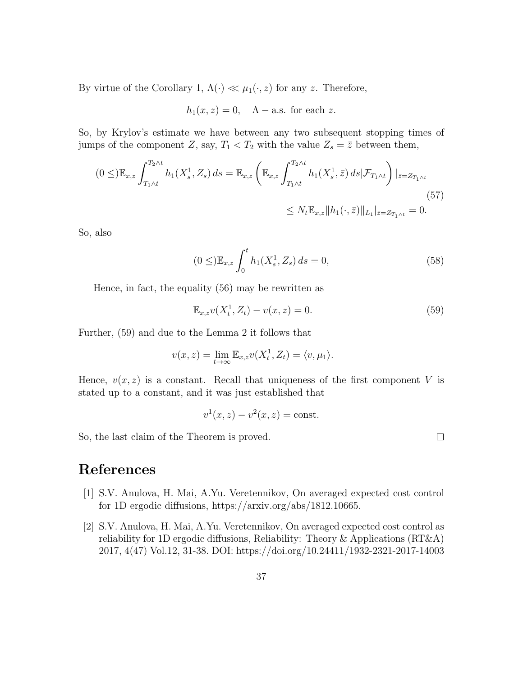By virtue of the Corollary 1,  $\Lambda(\cdot) \ll \mu_1(\cdot, z)$  for any z. Therefore,

$$
h_1(x, z) = 0
$$
,  $\Lambda -$ a.s. for each z.

So, by Krylov's estimate we have between any two subsequent stopping times of jumps of the component Z, say,  $T_1 < T_2$  with the value  $Z_s = \overline{z}$  between them,

$$
(0 \leq) \mathbb{E}_{x,z} \int_{T_1 \wedge t}^{T_2 \wedge t} h_1(X_s^1, Z_s) ds = \mathbb{E}_{x,z} \left( \mathbb{E}_{x,z} \int_{T_1 \wedge t}^{T_2 \wedge t} h_1(X_s^1, \bar{z}) ds | \mathcal{F}_{T_1 \wedge t} \right) |_{\bar{z}=Z_{T_1 \wedge t}}
$$
\n
$$
\leq N_t \mathbb{E}_{x,z} ||h_1(\cdot, \bar{z})||_{L_1} |_{\bar{z}=Z_{T_1 \wedge t}} = 0.
$$
\n(57)

So, also

$$
(0 \leq) \mathbb{E}_{x,z} \int_0^t h_1(X_s^1, Z_s) ds = 0,
$$
\n(58)

Hence, in fact, the equality (56) may be rewritten as

$$
\mathbb{E}_{x,z}v(X_t^1, Z_t) - v(x,z) = 0.
$$
\n(59)

 $\Box$ 

Further, (59) and due to the Lemma 2 it follows that

$$
v(x, z) = \lim_{t \to \infty} \mathbb{E}_{x, z} v(X_t^1, Z_t) = \langle v, \mu_1 \rangle.
$$

Hence,  $v(x, z)$  is a constant. Recall that uniqueness of the first component V is stated up to a constant, and it was just established that

$$
v^1(x, z) - v^2(x, z) = \text{const.}
$$

So, the last claim of the Theorem is proved.

References

- [1] S.V. Anulova, H. Mai, A.Yu. Veretennikov, On averaged expected cost control for 1D ergodic diffusions, https://arxiv.org/abs/1812.10665.
- [2] S.V. Anulova, H. Mai, A.Yu. Veretennikov, On averaged expected cost control as reliability for 1D ergodic diffusions, Reliability: Theory & Applications (RT&A) 2017, 4(47) Vol.12, 31-38. DOI: https://doi.org/10.24411/1932-2321-2017-14003